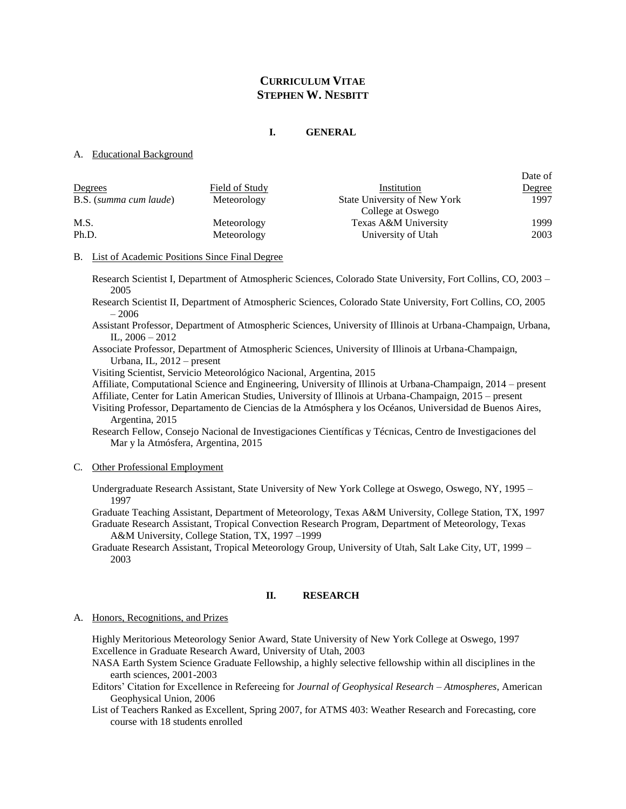## **CURRICULUM VITAE STEPHEN W. NESBITT**

### **I. GENERAL**

#### A. Educational Background

| Degrees                | Field of Study | Institution                                       | Date of<br>Degree |
|------------------------|----------------|---------------------------------------------------|-------------------|
| B.S. (summa cum laude) | Meteorology    | State University of New York<br>College at Oswego | 1997              |
| M.S.                   | Meteorology    | Texas A&M University                              | 1999              |
| Ph.D.                  | Meteorology    | University of Utah                                | 2003              |

### B. List of Academic Positions Since Final Degree

Research Scientist I, Department of Atmospheric Sciences, Colorado State University, Fort Collins, CO, 2003 – 2005

Research Scientist II, Department of Atmospheric Sciences, Colorado State University, Fort Collins, CO, 2005 – 2006

Assistant Professor, Department of Atmospheric Sciences, University of Illinois at Urbana-Champaign, Urbana, IL, 2006 – 2012

Associate Professor, Department of Atmospheric Sciences, University of Illinois at Urbana-Champaign, Urbana, IL, 2012 – present

Visiting Scientist, Servicio Meteorológico Nacional, Argentina, 2015

Affiliate, Computational Science and Engineering, University of Illinois at Urbana-Champaign, 2014 – present

Affiliate, Center for Latin American Studies, University of Illinois at Urbana-Champaign, 2015 – present

Visiting Professor, Departamento de Ciencias de la Atmósphera y los Océanos, Universidad de Buenos Aires, Argentina, 2015

Research Fellow, Consejo Nacional de Investigaciones Científicas y Técnicas, Centro de Investigaciones del Mar y la Atmósfera, Argentina, 2015

### C. Other Professional Employment

Undergraduate Research Assistant, State University of New York College at Oswego, Oswego, NY, 1995 – 1997

Graduate Teaching Assistant, Department of Meteorology, Texas A&M University, College Station, TX, 1997 Graduate Research Assistant, Tropical Convection Research Program, Department of Meteorology, Texas

A&M University, College Station, TX, 1997 –1999

Graduate Research Assistant, Tropical Meteorology Group, University of Utah, Salt Lake City, UT, 1999 – 2003

### **II. RESEARCH**

A. Honors, Recognitions, and Prizes

Highly Meritorious Meteorology Senior Award, State University of New York College at Oswego, 1997 Excellence in Graduate Research Award, University of Utah, 2003

NASA Earth System Science Graduate Fellowship, a highly selective fellowship within all disciplines in the earth sciences, 2001-2003

Editors' Citation for Excellence in Refereeing for *Journal of Geophysical Research – Atmospheres*, American Geophysical Union, 2006

List of Teachers Ranked as Excellent, Spring 2007, for ATMS 403: Weather Research and Forecasting, core course with 18 students enrolled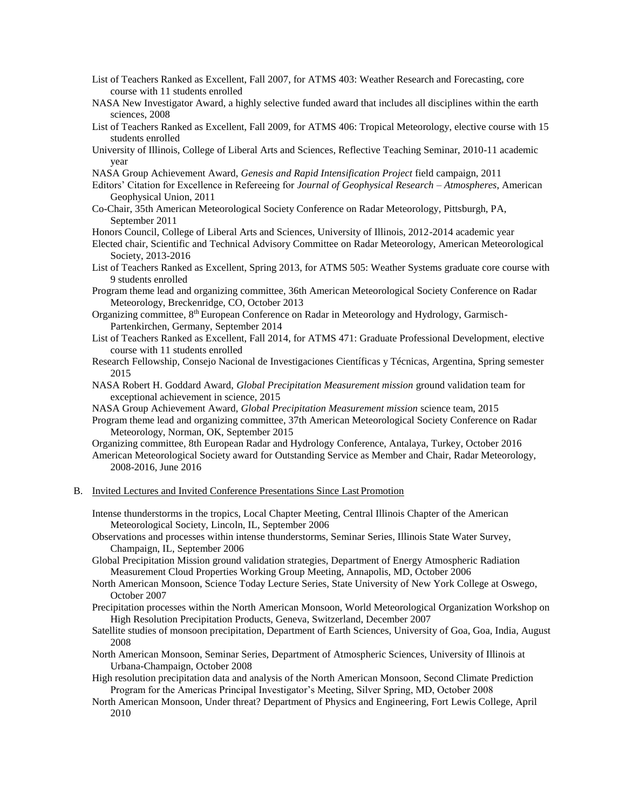- List of Teachers Ranked as Excellent, Fall 2007, for ATMS 403: Weather Research and Forecasting, core course with 11 students enrolled
- NASA New Investigator Award, a highly selective funded award that includes all disciplines within the earth sciences, 2008
- List of Teachers Ranked as Excellent, Fall 2009, for ATMS 406: Tropical Meteorology, elective course with 15 students enrolled
- University of Illinois, College of Liberal Arts and Sciences, Reflective Teaching Seminar, 2010-11 academic year
- NASA Group Achievement Award, *Genesis and Rapid Intensification Project* field campaign, 2011
- Editors' Citation for Excellence in Refereeing for *Journal of Geophysical Research – Atmospheres*, American Geophysical Union, 2011
- Co-Chair, 35th American Meteorological Society Conference on Radar Meteorology, Pittsburgh, PA, September 2011

Honors Council, College of Liberal Arts and Sciences, University of Illinois, 2012-2014 academic year

- Elected chair, Scientific and Technical Advisory Committee on Radar Meteorology, American Meteorological Society, 2013-2016
- List of Teachers Ranked as Excellent, Spring 2013, for ATMS 505: Weather Systems graduate core course with 9 students enrolled
- Program theme lead and organizing committee, 36th American Meteorological Society Conference on Radar Meteorology, Breckenridge, CO, October 2013
- Organizing committee, 8th European Conference on Radar in Meteorology and Hydrology, Garmisch-Partenkirchen, Germany, September 2014
- List of Teachers Ranked as Excellent, Fall 2014, for ATMS 471: Graduate Professional Development, elective course with 11 students enrolled
- Research Fellowship, Consejo Nacional de Investigaciones Científicas y Técnicas, Argentina, Spring semester 2015
- NASA Robert H. Goddard Award, *Global Precipitation Measurement mission* ground validation team for exceptional achievement in science, 2015
- NASA Group Achievement Award, *Global Precipitation Measurement mission* science team, 2015
- Program theme lead and organizing committee, 37th American Meteorological Society Conference on Radar Meteorology, Norman, OK, September 2015

Organizing committee, 8th European Radar and Hydrology Conference, Antalaya, Turkey, October 2016 American Meteorological Society award for Outstanding Service as Member and Chair, Radar Meteorology, 2008-2016, June 2016

B. Invited Lectures and Invited Conference Presentations Since Last Promotion

Intense thunderstorms in the tropics, Local Chapter Meeting, Central Illinois Chapter of the American Meteorological Society, Lincoln, IL, September 2006

Observations and processes within intense thunderstorms, Seminar Series, Illinois State Water Survey, Champaign, IL, September 2006

- Global Precipitation Mission ground validation strategies, Department of Energy Atmospheric Radiation Measurement Cloud Properties Working Group Meeting, Annapolis, MD, October 2006
- North American Monsoon, Science Today Lecture Series, State University of New York College at Oswego, October 2007
- Precipitation processes within the North American Monsoon, World Meteorological Organization Workshop on High Resolution Precipitation Products, Geneva, Switzerland, December 2007
- Satellite studies of monsoon precipitation, Department of Earth Sciences, University of Goa, Goa, India, August 2008
- North American Monsoon, Seminar Series, Department of Atmospheric Sciences, University of Illinois at Urbana-Champaign, October 2008
- High resolution precipitation data and analysis of the North American Monsoon, Second Climate Prediction Program for the Americas Principal Investigator's Meeting, Silver Spring, MD, October 2008
- North American Monsoon, Under threat? Department of Physics and Engineering, Fort Lewis College, April 2010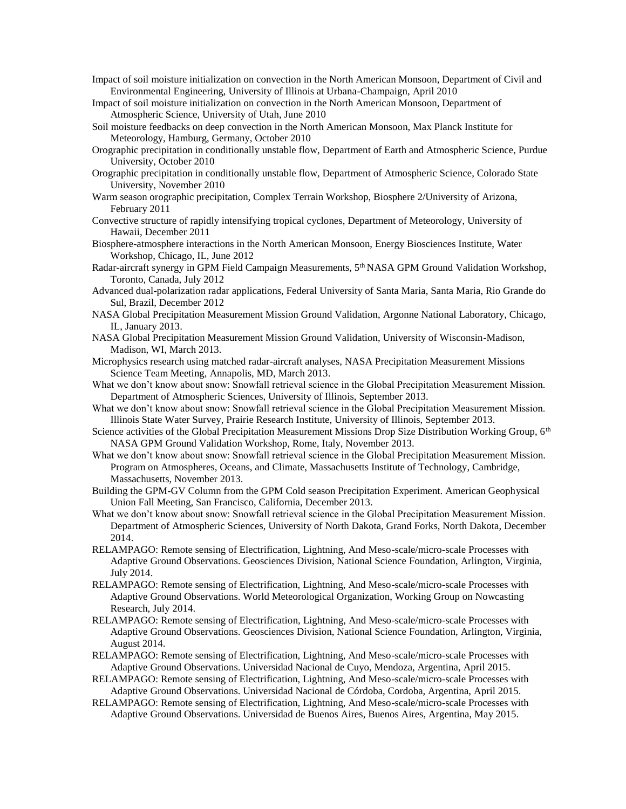- Impact of soil moisture initialization on convection in the North American Monsoon, Department of Civil and Environmental Engineering, University of Illinois at Urbana-Champaign, April 2010
- Impact of soil moisture initialization on convection in the North American Monsoon, Department of Atmospheric Science, University of Utah, June 2010
- Soil moisture feedbacks on deep convection in the North American Monsoon, Max Planck Institute for Meteorology, Hamburg, Germany, October 2010
- Orographic precipitation in conditionally unstable flow, Department of Earth and Atmospheric Science, Purdue University, October 2010
- Orographic precipitation in conditionally unstable flow, Department of Atmospheric Science, Colorado State University, November 2010
- Warm season orographic precipitation, Complex Terrain Workshop, Biosphere 2/University of Arizona, February 2011
- Convective structure of rapidly intensifying tropical cyclones, Department of Meteorology, University of Hawaii, December 2011
- Biosphere-atmosphere interactions in the North American Monsoon, Energy Biosciences Institute, Water Workshop, Chicago, IL, June 2012
- Radar-aircraft synergy in GPM Field Campaign Measurements, 5<sup>th</sup> NASA GPM Ground Validation Workshop, Toronto, Canada, July 2012
- Advanced dual-polarization radar applications, Federal University of Santa Maria, Santa Maria, Rio Grande do Sul, Brazil, December 2012
- NASA Global Precipitation Measurement Mission Ground Validation, Argonne National Laboratory, Chicago, IL, January 2013.
- NASA Global Precipitation Measurement Mission Ground Validation, University of Wisconsin-Madison, Madison, WI, March 2013.
- Microphysics research using matched radar-aircraft analyses, NASA Precipitation Measurement Missions Science Team Meeting, Annapolis, MD, March 2013.
- What we don't know about snow: Snowfall retrieval science in the Global Precipitation Measurement Mission. Department of Atmospheric Sciences, University of Illinois, September 2013.
- What we don't know about snow: Snowfall retrieval science in the Global Precipitation Measurement Mission. Illinois State Water Survey, Prairie Research Institute, University of Illinois, September 2013.
- Science activities of the Global Precipitation Measurement Missions Drop Size Distribution Working Group, 6<sup>th</sup> NASA GPM Ground Validation Workshop, Rome, Italy, November 2013.
- What we don't know about snow: Snowfall retrieval science in the Global Precipitation Measurement Mission. Program on Atmospheres, Oceans, and Climate, Massachusetts Institute of Technology, Cambridge, Massachusetts, November 2013.
- Building the GPM-GV Column from the GPM Cold season Precipitation Experiment. American Geophysical Union Fall Meeting, San Francisco, California, December 2013.
- What we don't know about snow: Snowfall retrieval science in the Global Precipitation Measurement Mission. Department of Atmospheric Sciences, University of North Dakota, Grand Forks, North Dakota, December 2014.
- RELAMPAGO: Remote sensing of Electrification, Lightning, And Meso-scale/micro-scale Processes with Adaptive Ground Observations. Geosciences Division, National Science Foundation, Arlington, Virginia, July 2014.
- RELAMPAGO: Remote sensing of Electrification, Lightning, And Meso-scale/micro-scale Processes with Adaptive Ground Observations. World Meteorological Organization, Working Group on Nowcasting Research, July 2014.
- RELAMPAGO: Remote sensing of Electrification, Lightning, And Meso-scale/micro-scale Processes with Adaptive Ground Observations. Geosciences Division, National Science Foundation, Arlington, Virginia, August 2014.
- RELAMPAGO: Remote sensing of Electrification, Lightning, And Meso-scale/micro-scale Processes with Adaptive Ground Observations. Universidad Nacional de Cuyo, Mendoza, Argentina, April 2015.
- RELAMPAGO: Remote sensing of Electrification, Lightning, And Meso-scale/micro-scale Processes with Adaptive Ground Observations. Universidad Nacional de Córdoba, Cordoba, Argentina, April 2015.
- RELAMPAGO: Remote sensing of Electrification, Lightning, And Meso-scale/micro-scale Processes with Adaptive Ground Observations. Universidad de Buenos Aires, Buenos Aires, Argentina, May 2015.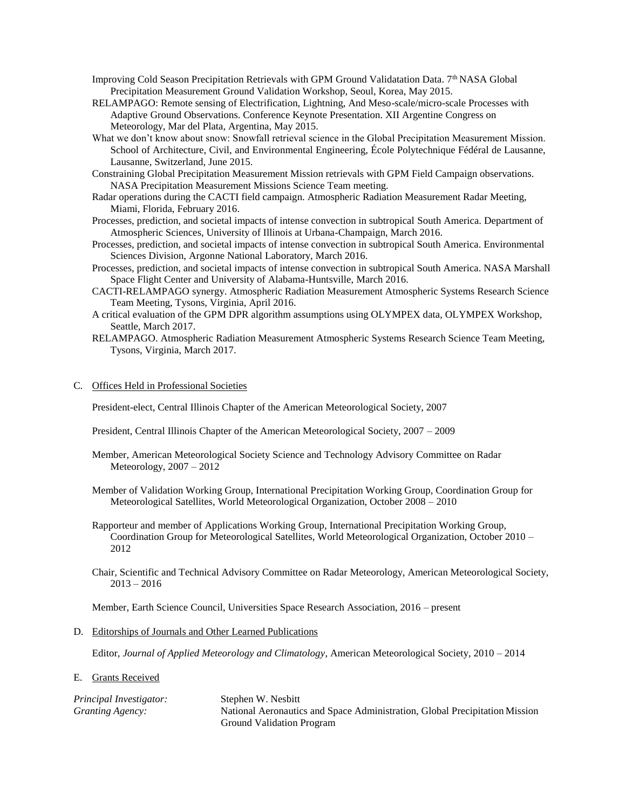- Improving Cold Season Precipitation Retrievals with GPM Ground Validatation Data. 7<sup>th</sup> NASA Global Precipitation Measurement Ground Validation Workshop, Seoul, Korea, May 2015.
- RELAMPAGO: Remote sensing of Electrification, Lightning, And Meso-scale/micro-scale Processes with Adaptive Ground Observations. Conference Keynote Presentation. XII Argentine Congress on Meteorology, Mar del Plata, Argentina, May 2015.
- What we don't know about snow: Snowfall retrieval science in the Global Precipitation Measurement Mission. School of Architecture, Civil, and Environmental Engineering, École Polytechnique Fédéral de Lausanne, Lausanne, Switzerland, June 2015.
- Constraining Global Precipitation Measurement Mission retrievals with GPM Field Campaign observations. NASA Precipitation Measurement Missions Science Team meeting.
- Radar operations during the CACTI field campaign. Atmospheric Radiation Measurement Radar Meeting, Miami, Florida, February 2016.
- Processes, prediction, and societal impacts of intense convection in subtropical South America. Department of Atmospheric Sciences, University of Illinois at Urbana-Champaign, March 2016.
- Processes, prediction, and societal impacts of intense convection in subtropical South America. Environmental Sciences Division, Argonne National Laboratory, March 2016.
- Processes, prediction, and societal impacts of intense convection in subtropical South America. NASA Marshall Space Flight Center and University of Alabama-Huntsville, March 2016.
- CACTI-RELAMPAGO synergy. Atmospheric Radiation Measurement Atmospheric Systems Research Science Team Meeting, Tysons, Virginia, April 2016.
- A critical evaluation of the GPM DPR algorithm assumptions using OLYMPEX data, OLYMPEX Workshop, Seattle, March 2017.
- RELAMPAGO. Atmospheric Radiation Measurement Atmospheric Systems Research Science Team Meeting, Tysons, Virginia, March 2017.
- C. Offices Held in Professional Societies

President-elect, Central Illinois Chapter of the American Meteorological Society, 2007

President, Central Illinois Chapter of the American Meteorological Society, 2007 – 2009

- Member, American Meteorological Society Science and Technology Advisory Committee on Radar Meteorology, 2007 – 2012
- Member of Validation Working Group, International Precipitation Working Group, Coordination Group for Meteorological Satellites, World Meteorological Organization, October 2008 – 2010
- Rapporteur and member of Applications Working Group, International Precipitation Working Group, Coordination Group for Meteorological Satellites, World Meteorological Organization, October 2010 – 2012
- Chair, Scientific and Technical Advisory Committee on Radar Meteorology, American Meteorological Society, 2013 – 2016

Member, Earth Science Council, Universities Space Research Association, 2016 – present

D. Editorships of Journals and Other Learned Publications

Editor, *Journal of Applied Meteorology and Climatology*, American Meteorological Society, 2010 – 2014

E. Grants Received

| Principal Investigator: | Stephen W. Nesbitt                                                          |
|-------------------------|-----------------------------------------------------------------------------|
| Granting Agency:        | National Aeronautics and Space Administration, Global Precipitation Mission |
|                         | <b>Ground Validation Program</b>                                            |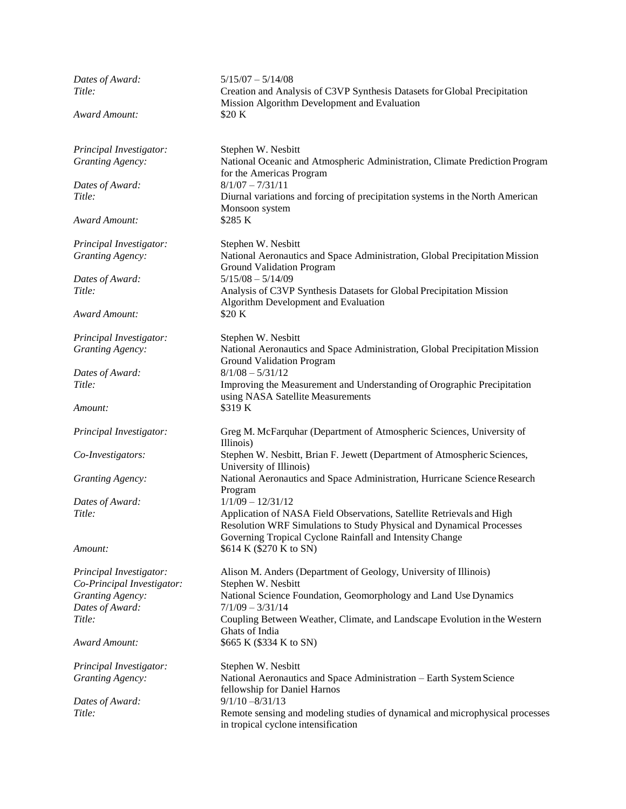| Dates of Award:<br>Title:  | $5/15/07 - 5/14/08$<br>Creation and Analysis of C3VP Synthesis Datasets for Global Precipitation                                                                                                          |
|----------------------------|-----------------------------------------------------------------------------------------------------------------------------------------------------------------------------------------------------------|
|                            | Mission Algorithm Development and Evaluation                                                                                                                                                              |
| Award Amount:              | \$20 K                                                                                                                                                                                                    |
| Principal Investigator:    | Stephen W. Nesbitt                                                                                                                                                                                        |
| <b>Granting Agency:</b>    | National Oceanic and Atmospheric Administration, Climate Prediction Program<br>for the Americas Program                                                                                                   |
| Dates of Award:            | $8/1/07 - 7/31/11$                                                                                                                                                                                        |
| Title:                     | Diurnal variations and forcing of precipitation systems in the North American<br>Monsoon system                                                                                                           |
| Award Amount:              | \$285 K                                                                                                                                                                                                   |
| Principal Investigator:    | Stephen W. Nesbitt                                                                                                                                                                                        |
| <b>Granting Agency:</b>    | National Aeronautics and Space Administration, Global Precipitation Mission<br><b>Ground Validation Program</b>                                                                                           |
| Dates of Award:            | $5/15/08 - 5/14/09$                                                                                                                                                                                       |
| Title:                     | Analysis of C3VP Synthesis Datasets for Global Precipitation Mission<br>Algorithm Development and Evaluation                                                                                              |
| Award Amount:              | \$20 K                                                                                                                                                                                                    |
| Principal Investigator:    | Stephen W. Nesbitt                                                                                                                                                                                        |
| <b>Granting Agency:</b>    | National Aeronautics and Space Administration, Global Precipitation Mission<br>Ground Validation Program                                                                                                  |
| Dates of Award:            | $8/1/08 - 5/31/12$                                                                                                                                                                                        |
| Title:                     | Improving the Measurement and Understanding of Orographic Precipitation<br>using NASA Satellite Measurements                                                                                              |
| Amount:                    | \$319K                                                                                                                                                                                                    |
| Principal Investigator:    | Greg M. McFarquhar (Department of Atmospheric Sciences, University of<br>Illinois)                                                                                                                        |
| Co-Investigators:          | Stephen W. Nesbitt, Brian F. Jewett (Department of Atmospheric Sciences,<br>University of Illinois)                                                                                                       |
| <b>Granting Agency:</b>    | National Aeronautics and Space Administration, Hurricane Science Research<br>Program                                                                                                                      |
| Dates of Award:            | $1/1/09 - 12/31/12$                                                                                                                                                                                       |
| Title:                     | Application of NASA Field Observations, Satellite Retrievals and High<br>Resolution WRF Simulations to Study Physical and Dynamical Processes<br>Governing Tropical Cyclone Rainfall and Intensity Change |
| Amount:                    | \$614 K (\$270 K to SN)                                                                                                                                                                                   |
| Principal Investigator:    | Alison M. Anders (Department of Geology, University of Illinois)                                                                                                                                          |
| Co-Principal Investigator: | Stephen W. Nesbitt                                                                                                                                                                                        |
| <b>Granting Agency:</b>    | National Science Foundation, Geomorphology and Land Use Dynamics                                                                                                                                          |
| Dates of Award:            | $7/1/09 - 3/31/14$                                                                                                                                                                                        |
| Title:                     | Coupling Between Weather, Climate, and Landscape Evolution in the Western<br>Ghats of India                                                                                                               |
| <b>Award Amount:</b>       | \$665 K (\$334 K to SN)                                                                                                                                                                                   |
| Principal Investigator:    | Stephen W. Nesbitt                                                                                                                                                                                        |
| <b>Granting Agency:</b>    | National Aeronautics and Space Administration - Earth System Science<br>fellowship for Daniel Harnos                                                                                                      |
| Dates of Award:            | $9/1/10 - 8/31/13$                                                                                                                                                                                        |
| Title:                     | Remote sensing and modeling studies of dynamical and microphysical processes<br>in tropical cyclone intensification                                                                                       |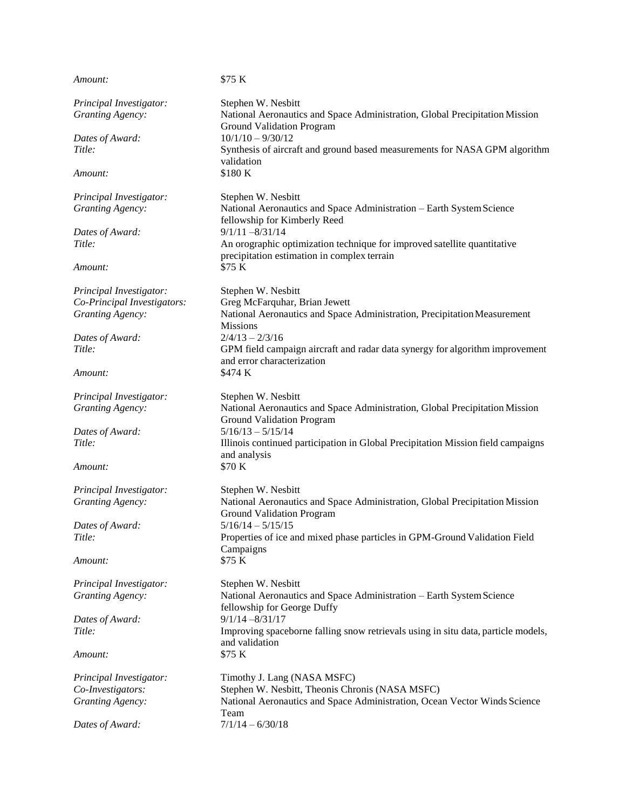| Amount:                     | \$75 K                                                                                                                  |
|-----------------------------|-------------------------------------------------------------------------------------------------------------------------|
| Principal Investigator:     | Stephen W. Nesbitt                                                                                                      |
| <b>Granting Agency:</b>     | National Aeronautics and Space Administration, Global Precipitation Mission<br><b>Ground Validation Program</b>         |
| Dates of Award:             | $10/1/10 - 9/30/12$                                                                                                     |
| Title:                      | Synthesis of aircraft and ground based measurements for NASA GPM algorithm<br>validation                                |
| Amount:                     | \$180 K                                                                                                                 |
| Principal Investigator:     | Stephen W. Nesbitt                                                                                                      |
| <b>Granting Agency:</b>     | National Aeronautics and Space Administration - Earth System Science<br>fellowship for Kimberly Reed                    |
| Dates of Award:             | $9/1/11 - 8/31/14$                                                                                                      |
| Title:                      | An orographic optimization technique for improved satellite quantitative<br>precipitation estimation in complex terrain |
| Amount:                     | \$75 K                                                                                                                  |
| Principal Investigator:     | Stephen W. Nesbitt                                                                                                      |
| Co-Principal Investigators: | Greg McFarquhar, Brian Jewett                                                                                           |
| <b>Granting Agency:</b>     | National Aeronautics and Space Administration, Precipitation Measurement<br><b>Missions</b>                             |
| Dates of Award:             | $2/4/13 - 2/3/16$                                                                                                       |
| Title:                      | GPM field campaign aircraft and radar data synergy for algorithm improvement<br>and error characterization              |
| Amount:                     | \$474 K                                                                                                                 |
| Principal Investigator:     | Stephen W. Nesbitt                                                                                                      |
| <b>Granting Agency:</b>     | National Aeronautics and Space Administration, Global Precipitation Mission<br><b>Ground Validation Program</b>         |
| Dates of Award:             | $5/16/13 - 5/15/14$                                                                                                     |
| Title:                      | Illinois continued participation in Global Precipitation Mission field campaigns<br>and analysis                        |
| Amount:                     | \$70 K                                                                                                                  |
| Principal Investigator:     | Stephen W. Nesbitt                                                                                                      |
| <b>Granting Agency:</b>     | National Aeronautics and Space Administration, Global Precipitation Mission<br><b>Ground Validation Program</b>         |
| Dates of Award:             | $5/16/14 - 5/15/15$                                                                                                     |
| Title:                      | Properties of ice and mixed phase particles in GPM-Ground Validation Field<br>Campaigns                                 |
| Amount:                     | \$75 K                                                                                                                  |
| Principal Investigator:     | Stephen W. Nesbitt                                                                                                      |
| Granting Agency:            | National Aeronautics and Space Administration - Earth System Science<br>fellowship for George Duffy                     |
| Dates of Award:             | $9/1/14 - 8/31/17$                                                                                                      |
| Title:                      | Improving spaceborne falling snow retrievals using in situ data, particle models,<br>and validation                     |
| Amount:                     | \$75 K                                                                                                                  |
| Principal Investigator:     | Timothy J. Lang (NASA MSFC)                                                                                             |
| Co-Investigators:           | Stephen W. Nesbitt, Theonis Chronis (NASA MSFC)                                                                         |
| <b>Granting Agency:</b>     | National Aeronautics and Space Administration, Ocean Vector Winds Science<br>Team                                       |
| Dates of Award:             | $7/1/14 - 6/30/18$                                                                                                      |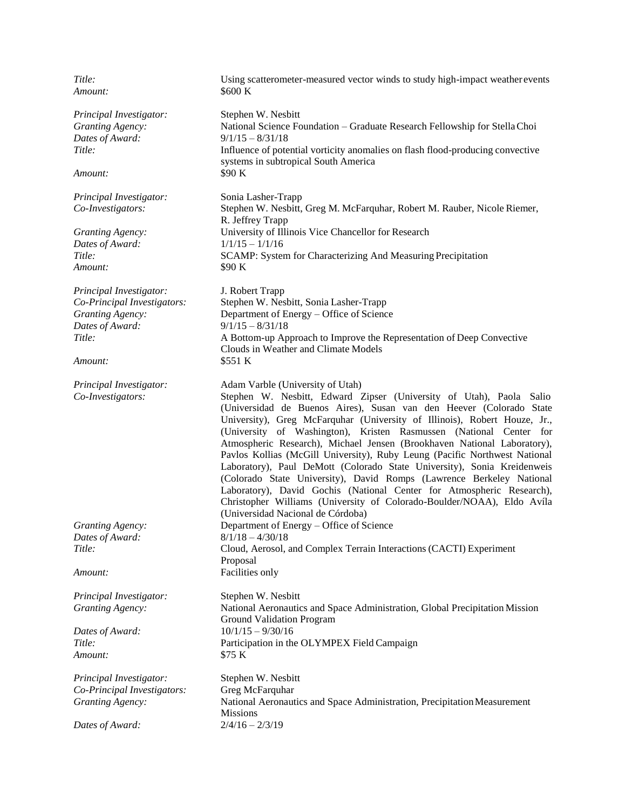| Title:                      | Using scatterometer-measured vector winds to study high-impact weather events                                                                                                                                                                                                                                                                                                                                                                                                                                                                                                                                                                                                                                                                                                                     |
|-----------------------------|---------------------------------------------------------------------------------------------------------------------------------------------------------------------------------------------------------------------------------------------------------------------------------------------------------------------------------------------------------------------------------------------------------------------------------------------------------------------------------------------------------------------------------------------------------------------------------------------------------------------------------------------------------------------------------------------------------------------------------------------------------------------------------------------------|
| Amount:                     | \$600 K                                                                                                                                                                                                                                                                                                                                                                                                                                                                                                                                                                                                                                                                                                                                                                                           |
| Principal Investigator:     | Stephen W. Nesbitt                                                                                                                                                                                                                                                                                                                                                                                                                                                                                                                                                                                                                                                                                                                                                                                |
| <b>Granting Agency:</b>     | National Science Foundation - Graduate Research Fellowship for Stella Choi                                                                                                                                                                                                                                                                                                                                                                                                                                                                                                                                                                                                                                                                                                                        |
| Dates of Award:             | $9/1/15 - 8/31/18$                                                                                                                                                                                                                                                                                                                                                                                                                                                                                                                                                                                                                                                                                                                                                                                |
| Title:                      | Influence of potential vorticity anomalies on flash flood-producing convective                                                                                                                                                                                                                                                                                                                                                                                                                                                                                                                                                                                                                                                                                                                    |
| Amount:                     | systems in subtropical South America<br>\$90 K                                                                                                                                                                                                                                                                                                                                                                                                                                                                                                                                                                                                                                                                                                                                                    |
| Principal Investigator:     | Sonia Lasher-Trapp                                                                                                                                                                                                                                                                                                                                                                                                                                                                                                                                                                                                                                                                                                                                                                                |
| Co-Investigators:           | Stephen W. Nesbitt, Greg M. McFarquhar, Robert M. Rauber, Nicole Riemer,<br>R. Jeffrey Trapp                                                                                                                                                                                                                                                                                                                                                                                                                                                                                                                                                                                                                                                                                                      |
| <b>Granting Agency:</b>     | University of Illinois Vice Chancellor for Research                                                                                                                                                                                                                                                                                                                                                                                                                                                                                                                                                                                                                                                                                                                                               |
| Dates of Award:             | $1/1/15 - 1/1/16$                                                                                                                                                                                                                                                                                                                                                                                                                                                                                                                                                                                                                                                                                                                                                                                 |
| Title:                      | SCAMP: System for Characterizing And Measuring Precipitation                                                                                                                                                                                                                                                                                                                                                                                                                                                                                                                                                                                                                                                                                                                                      |
| Amount:                     | \$90 K                                                                                                                                                                                                                                                                                                                                                                                                                                                                                                                                                                                                                                                                                                                                                                                            |
| Principal Investigator:     | J. Robert Trapp                                                                                                                                                                                                                                                                                                                                                                                                                                                                                                                                                                                                                                                                                                                                                                                   |
| Co-Principal Investigators: | Stephen W. Nesbitt, Sonia Lasher-Trapp                                                                                                                                                                                                                                                                                                                                                                                                                                                                                                                                                                                                                                                                                                                                                            |
| <b>Granting Agency:</b>     | Department of Energy – Office of Science                                                                                                                                                                                                                                                                                                                                                                                                                                                                                                                                                                                                                                                                                                                                                          |
| Dates of Award:             | $9/1/15 - 8/31/18$                                                                                                                                                                                                                                                                                                                                                                                                                                                                                                                                                                                                                                                                                                                                                                                |
| Title:                      | A Bottom-up Approach to Improve the Representation of Deep Convective<br>Clouds in Weather and Climate Models                                                                                                                                                                                                                                                                                                                                                                                                                                                                                                                                                                                                                                                                                     |
| Amount:                     | \$551 K                                                                                                                                                                                                                                                                                                                                                                                                                                                                                                                                                                                                                                                                                                                                                                                           |
| Principal Investigator:     | Adam Varble (University of Utah)                                                                                                                                                                                                                                                                                                                                                                                                                                                                                                                                                                                                                                                                                                                                                                  |
| Co-Investigators:           | Stephen W. Nesbitt, Edward Zipser (University of Utah), Paola Salio<br>(Universidad de Buenos Aires), Susan van den Heever (Colorado State<br>University), Greg McFarquhar (University of Illinois), Robert Houze, Jr.,<br>(University of Washington), Kristen Rasmussen (National Center for<br>Atmospheric Research), Michael Jensen (Brookhaven National Laboratory),<br>Pavlos Kollias (McGill University), Ruby Leung (Pacific Northwest National<br>Laboratory), Paul DeMott (Colorado State University), Sonia Kreidenweis<br>(Colorado State University), David Romps (Lawrence Berkeley National<br>Laboratory), David Gochis (National Center for Atmospheric Research),<br>Christopher Williams (University of Colorado-Boulder/NOAA), Eldo Avíla<br>(Universidad Nacional de Córdoba) |
| <b>Granting Agency:</b>     | Department of Energy - Office of Science                                                                                                                                                                                                                                                                                                                                                                                                                                                                                                                                                                                                                                                                                                                                                          |
| Dates of Award:             | $8/1/18 - 4/30/18$                                                                                                                                                                                                                                                                                                                                                                                                                                                                                                                                                                                                                                                                                                                                                                                |
| Title:                      | Cloud, Aerosol, and Complex Terrain Interactions (CACTI) Experiment<br>Proposal                                                                                                                                                                                                                                                                                                                                                                                                                                                                                                                                                                                                                                                                                                                   |
| Amount:                     | Facilities only                                                                                                                                                                                                                                                                                                                                                                                                                                                                                                                                                                                                                                                                                                                                                                                   |
| Principal Investigator:     | Stephen W. Nesbitt                                                                                                                                                                                                                                                                                                                                                                                                                                                                                                                                                                                                                                                                                                                                                                                |
| <b>Granting Agency:</b>     | National Aeronautics and Space Administration, Global Precipitation Mission<br>Ground Validation Program                                                                                                                                                                                                                                                                                                                                                                                                                                                                                                                                                                                                                                                                                          |
| Dates of Award:             | $10/1/15 - 9/30/16$                                                                                                                                                                                                                                                                                                                                                                                                                                                                                                                                                                                                                                                                                                                                                                               |
| Title:                      | Participation in the OLYMPEX Field Campaign                                                                                                                                                                                                                                                                                                                                                                                                                                                                                                                                                                                                                                                                                                                                                       |
| Amount:                     | \$75 K                                                                                                                                                                                                                                                                                                                                                                                                                                                                                                                                                                                                                                                                                                                                                                                            |
| Principal Investigator:     | Stephen W. Nesbitt                                                                                                                                                                                                                                                                                                                                                                                                                                                                                                                                                                                                                                                                                                                                                                                |
| Co-Principal Investigators: | Greg McFarquhar                                                                                                                                                                                                                                                                                                                                                                                                                                                                                                                                                                                                                                                                                                                                                                                   |
| <b>Granting Agency:</b>     | National Aeronautics and Space Administration, Precipitation Measurement<br><b>Missions</b>                                                                                                                                                                                                                                                                                                                                                                                                                                                                                                                                                                                                                                                                                                       |
| Dates of Award:             | $2/4/16 - 2/3/19$                                                                                                                                                                                                                                                                                                                                                                                                                                                                                                                                                                                                                                                                                                                                                                                 |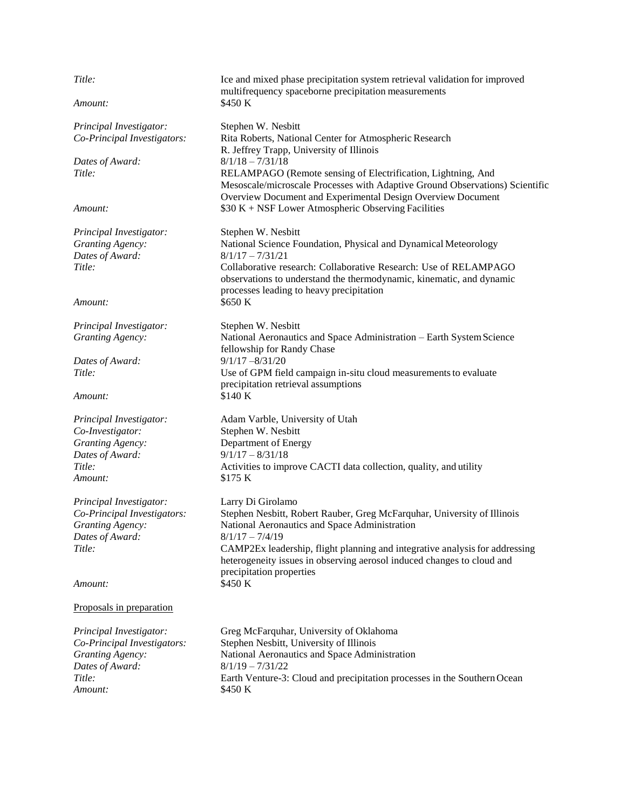| Title:                      | Ice and mixed phase precipitation system retrieval validation for improved<br>multifrequency spaceborne precipitation measurements                                                                          |
|-----------------------------|-------------------------------------------------------------------------------------------------------------------------------------------------------------------------------------------------------------|
| Amount:                     | \$450 K                                                                                                                                                                                                     |
| Principal Investigator:     | Stephen W. Nesbitt                                                                                                                                                                                          |
| Co-Principal Investigators: | Rita Roberts, National Center for Atmospheric Research<br>R. Jeffrey Trapp, University of Illinois                                                                                                          |
| Dates of Award:             | $8/1/18 - 7/31/18$                                                                                                                                                                                          |
| Title:                      | RELAMPAGO (Remote sensing of Electrification, Lightning, And<br>Mesoscale/microscale Processes with Adaptive Ground Observations) Scientific<br>Overview Document and Experimental Design Overview Document |
| Amount:                     | $$30 K + NSF Lower Atmospheric Observing Facilities$                                                                                                                                                        |
| Principal Investigator:     | Stephen W. Nesbitt                                                                                                                                                                                          |
| <b>Granting Agency:</b>     | National Science Foundation, Physical and Dynamical Meteorology                                                                                                                                             |
| Dates of Award:             | $8/1/17 - 7/31/21$                                                                                                                                                                                          |
| Title:                      | Collaborative research: Collaborative Research: Use of RELAMPAGO<br>observations to understand the thermodynamic, kinematic, and dynamic<br>processes leading to heavy precipitation                        |
| Amount:                     | \$650 K                                                                                                                                                                                                     |
| Principal Investigator:     | Stephen W. Nesbitt                                                                                                                                                                                          |
| <b>Granting Agency:</b>     | National Aeronautics and Space Administration - Earth System Science<br>fellowship for Randy Chase                                                                                                          |
| Dates of Award:             | $9/1/17 - 8/31/20$                                                                                                                                                                                          |
| Title:                      | Use of GPM field campaign in-situ cloud measurements to evaluate<br>precipitation retrieval assumptions                                                                                                     |
| Amount:                     | \$140 K                                                                                                                                                                                                     |
| Principal Investigator:     | Adam Varble, University of Utah                                                                                                                                                                             |
| Co-Investigator:            | Stephen W. Nesbitt                                                                                                                                                                                          |
| <b>Granting Agency:</b>     | Department of Energy                                                                                                                                                                                        |
| Dates of Award:             | $9/1/17 - 8/31/18$                                                                                                                                                                                          |
| Title:                      | Activities to improve CACTI data collection, quality, and utility                                                                                                                                           |
| Amount:                     | \$175 K                                                                                                                                                                                                     |
| Principal Investigator:     | Larry Di Girolamo                                                                                                                                                                                           |
| Co-Principal Investigators: | Stephen Nesbitt, Robert Rauber, Greg McFarquhar, University of Illinois                                                                                                                                     |
| <b>Granting Agency:</b>     | National Aeronautics and Space Administration                                                                                                                                                               |
| Dates of Award:             | $8/1/17 - 7/4/19$                                                                                                                                                                                           |
| Title:                      | CAMP2Ex leadership, flight planning and integrative analysis for addressing<br>heterogeneity issues in observing aerosol induced changes to cloud and<br>precipitation properties                           |
| Amount:                     | \$450 K                                                                                                                                                                                                     |
| Proposals in preparation    |                                                                                                                                                                                                             |
| Principal Investigator:     | Greg McFarquhar, University of Oklahoma                                                                                                                                                                     |
| Co-Principal Investigators: | Stephen Nesbitt, University of Illinois                                                                                                                                                                     |
| <b>Granting Agency:</b>     | National Aeronautics and Space Administration                                                                                                                                                               |
| Dates of Award:             | $8/1/19 - 7/31/22$                                                                                                                                                                                          |
| Title:                      | Earth Venture-3: Cloud and precipitation processes in the Southern Ocean                                                                                                                                    |
| Amount:                     | \$450 K                                                                                                                                                                                                     |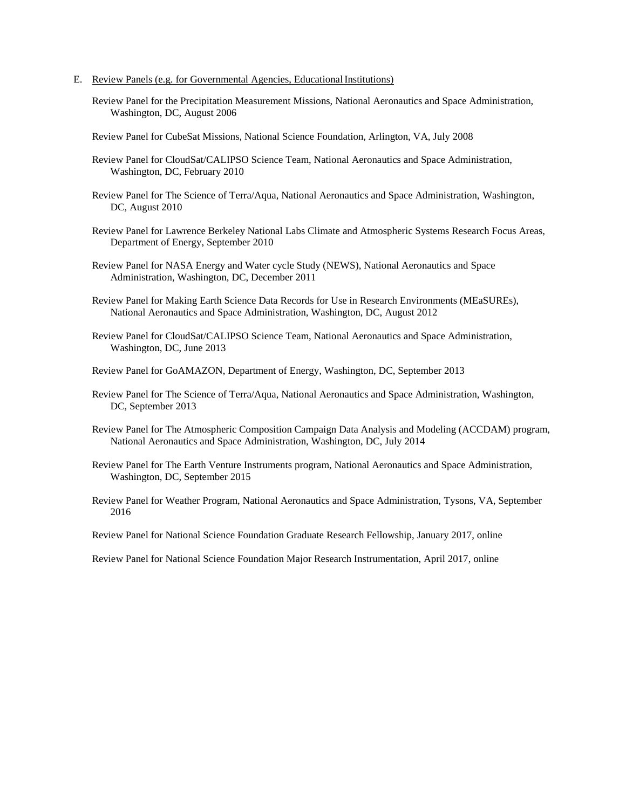- E. Review Panels (e.g. for Governmental Agencies, Educational Institutions)
	- Review Panel for the Precipitation Measurement Missions, National Aeronautics and Space Administration, Washington, DC, August 2006
	- Review Panel for CubeSat Missions, National Science Foundation, Arlington, VA, July 2008
	- Review Panel for CloudSat/CALIPSO Science Team, National Aeronautics and Space Administration, Washington, DC, February 2010
	- Review Panel for The Science of Terra/Aqua, National Aeronautics and Space Administration, Washington, DC, August 2010
	- Review Panel for Lawrence Berkeley National Labs Climate and Atmospheric Systems Research Focus Areas, Department of Energy, September 2010
	- Review Panel for NASA Energy and Water cycle Study (NEWS), National Aeronautics and Space Administration, Washington, DC, December 2011
	- Review Panel for Making Earth Science Data Records for Use in Research Environments (MEaSUREs), National Aeronautics and Space Administration, Washington, DC, August 2012
	- Review Panel for CloudSat/CALIPSO Science Team, National Aeronautics and Space Administration, Washington, DC, June 2013
	- Review Panel for GoAMAZON, Department of Energy, Washington, DC, September 2013
	- Review Panel for The Science of Terra/Aqua, National Aeronautics and Space Administration, Washington, DC, September 2013
	- Review Panel for The Atmospheric Composition Campaign Data Analysis and Modeling (ACCDAM) program, National Aeronautics and Space Administration, Washington, DC, July 2014
	- Review Panel for The Earth Venture Instruments program, National Aeronautics and Space Administration, Washington, DC, September 2015
	- Review Panel for Weather Program, National Aeronautics and Space Administration, Tysons, VA, September 2016

Review Panel for National Science Foundation Graduate Research Fellowship, January 2017, online

Review Panel for National Science Foundation Major Research Instrumentation, April 2017, online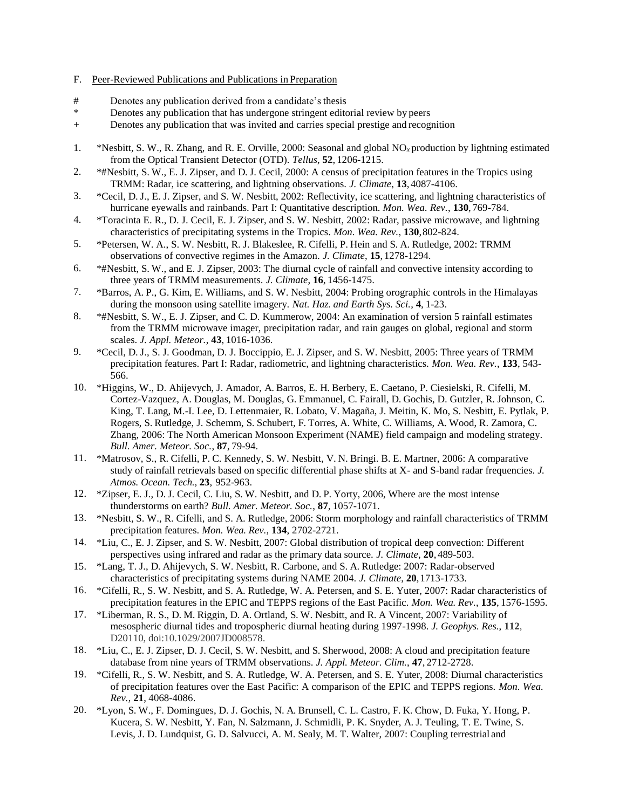#### F. Peer-Reviewed Publications and Publications in Preparation

- # Denotes any publication derived from a candidate's thesis
- \* Denotes any publication that has undergone stringent editorial review by peers
- + Denotes any publication that was invited and carries special prestige and recognition
- 1. \*Nesbitt, S. W., R. Zhang, and R. E. Orville, 2000: Seasonal and global NO*x* production by lightning estimated from the Optical Transient Detector (OTD). *Tellus*, **52**, 1206-1215.
- 2. \*#Nesbitt, S. W., E. J. Zipser, and D. J. Cecil, 2000: A census of precipitation features in the Tropics using TRMM: Radar, ice scattering, and lightning observations. *J. Climate*, **13**,4087-4106.
- 3. \*Cecil, D. J., E. J. Zipser, and S. W. Nesbitt, 2002: Reflectivity, ice scattering, and lightning characteristics of hurricane eyewalls and rainbands. Part I: Quantitative description. *Mon. Wea. Rev.*, **130**, 769-784.
- 4. \*Toracinta E. R., D. J. Cecil, E. J. Zipser, and S. W. Nesbitt, 2002: Radar, passive microwave, and lightning characteristics of precipitating systems in the Tropics. *Mon. Wea. Rev.*, **130**,802-824.
- 5. \*Petersen, W. A., S. W. Nesbitt, R. J. Blakeslee, R. Cifelli, P. Hein and S. A. Rutledge, 2002: TRMM observations of convective regimes in the Amazon. *J. Climate*, **15**, 1278-1294.
- 6. \*#Nesbitt, S. W., and E. J. Zipser, 2003: The diurnal cycle of rainfall and convective intensity according to three years of TRMM measurements. *J. Climate*, **16**, 1456-1475.
- 7. \*Barros, A. P., G. Kim, E. Williams, and S. W. Nesbitt, 2004: Probing orographic controls in the Himalayas during the monsoon using satellite imagery. *Nat. Haz. and Earth Sys. Sci.*, **4**, 1-23.
- 8. \*#Nesbitt, S. W., E. J. Zipser, and C. D. Kummerow, 2004: An examination of version 5 rainfall estimates from the TRMM microwave imager, precipitation radar, and rain gauges on global, regional and storm scales. *J. Appl. Meteor.*, **43**, 1016-1036.
- 9. \*Cecil, D. J., S. J. Goodman, D. J. Boccippio, E. J. Zipser, and S. W. Nesbitt, 2005: Three years of TRMM precipitation features. Part I: Radar, radiometric, and lightning characteristics. *Mon. Wea. Rev.*, **133**, 543- 566.
- 10. \*Higgins, W., D. Ahijevych, J. Amador, A. Barros, E. H. Berbery, E. Caetano, P. Ciesielski, R. Cifelli, M. Cortez-Vazquez, A. Douglas, M. Douglas, G. Emmanuel, C. Fairall, D. Gochis, D. Gutzler, R. Johnson, C. King, T. Lang, M.-I. Lee, D. Lettenmaier, R. Lobato, V. Magaña, J. Meitin, K. Mo, S. Nesbitt, E. Pytlak, P. Rogers, S. Rutledge, J. Schemm, S. Schubert, F. Torres, A. White, C. Williams, A. Wood, R. Zamora, C. Zhang, 2006: The North American Monsoon Experiment (NAME) field campaign and modeling strategy. *Bull. Amer. Meteor. Soc.*, **87**, 79-94.
- 11. \*Matrosov, S., R. Cifelli, P. C. Kennedy, S. W. Nesbitt, V. N. Bringi. B. E. Martner, 2006: A comparative study of rainfall retrievals based on specific differential phase shifts at X- and S-band radar frequencies. *J. Atmos. Ocean. Tech.,* **23**, 952-963.
- 12. \*Zipser, E. J., D. J. Cecil, C. Liu, S. W. Nesbitt, and D. P. Yorty, 2006, Where are the most intense thunderstorms on earth? *Bull. Amer. Meteor. Soc.*, **87**, 1057-1071.
- 13. \*Nesbitt, S. W., R. Cifelli, and S. A. Rutledge, 2006: Storm morphology and rainfall characteristics of TRMM precipitation features. *Mon. Wea. Rev.*, **134**, 2702-2721.
- 14. \*Liu, C., E. J. Zipser, and S. W. Nesbitt, 2007: Global distribution of tropical deep convection: Different perspectives using infrared and radar as the primary data source. *J. Climate*, **20**, 489-503.
- 15. \*Lang, T. J., D. Ahijevych, S. W. Nesbitt, R. Carbone, and S. A. Rutledge: 2007: Radar-observed characteristics of precipitating systems during NAME 2004. *J. Climate*, **20**,1713-1733.
- 16. \*Cifelli, R., S. W. Nesbitt, and S. A. Rutledge, W. A. Petersen, and S. E. Yuter, 2007: Radar characteristics of precipitation features in the EPIC and TEPPS regions of the East Pacific. *Mon. Wea. Rev.*, **135**, 1576-1595.
- 17. \*Liberman, R. S., D. M. Riggin, D. A. Ortland, S. W. Nesbitt, and R. A Vincent, 2007: Variability of mesospheric diurnal tides and tropospheric diurnal heating during 1997-1998. *J. Geophys. Res.*, **112**, D20110, doi:10.1029/2007JD008578.
- 18. \*Liu, C., E. J. Zipser, D. J. Cecil, S. W. Nesbitt, and S. Sherwood, 2008: A cloud and precipitation feature database from nine years of TRMM observations. *J. Appl. Meteor. Clim.*, **47**, 2712-2728.
- 19. \*Cifelli, R., S. W. Nesbitt, and S. A. Rutledge, W. A. Petersen, and S. E. Yuter, 2008: Diurnal characteristics of precipitation features over the East Pacific: A comparison of the EPIC and TEPPS regions. *Mon. Wea. Rev.*, **21**, 4068-4086.
- 20. \*Lyon, S. W., F. Domingues, D. J. Gochis, N. A. Brunsell, C. L. Castro, F. K. Chow, D. Fuka, Y. Hong, P. Kucera, S. W. Nesbitt, Y. Fan, N. Salzmann, J. Schmidli, P. K. Snyder, A. J. Teuling, T. E. Twine, S. Levis, J. D. Lundquist, G. D. Salvucci, A. M. Sealy, M. T. Walter, 2007: Coupling terrestrial and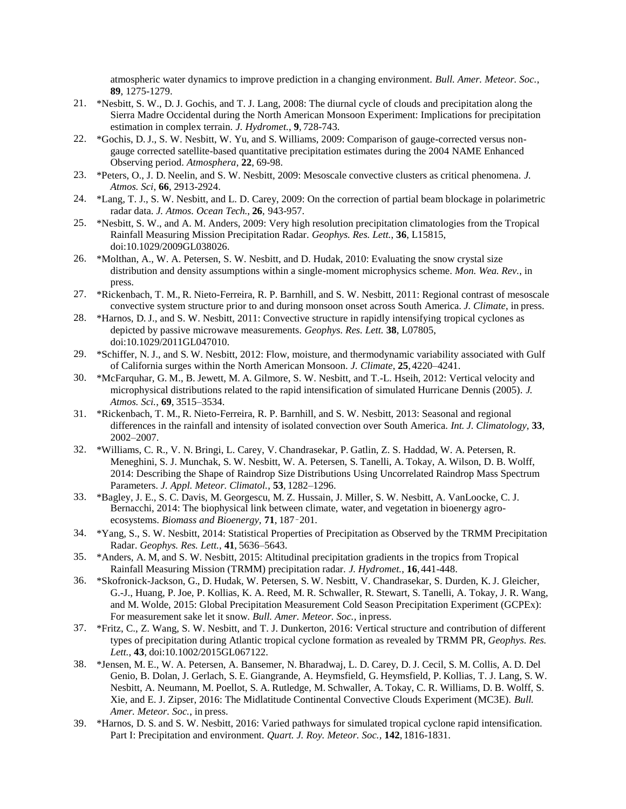atmospheric water dynamics to improve prediction in a changing environment. *Bull. Amer. Meteor. Soc.*, **89**, 1275-1279.

- 21. \*Nesbitt, S. W., D. J. Gochis, and T. J. Lang, 2008: The diurnal cycle of clouds and precipitation along the Sierra Madre Occidental during the North American Monsoon Experiment: Implications for precipitation estimation in complex terrain. *J. Hydromet.*, **9**, 728-743.
- 22. \*Gochis, D. J., S. W. Nesbitt, W. Yu, and S. Williams, 2009: Comparison of gauge-corrected versus nongauge corrected satellite-based quantitative precipitation estimates during the 2004 NAME Enhanced Observing period. *Atmosphera*, **22**, 69-98.
- 23. \*Peters, O., J. D. Neelin, and S. W. Nesbitt, 2009: Mesoscale convective clusters as critical phenomena. *J. Atmos. Sci*, **66**, 2913-2924.
- 24. \*Lang, T. J., S. W. Nesbitt, and L. D. Carey, 2009: On the correction of partial beam blockage in polarimetric radar data. *J. Atmos. Ocean Tech.*, **26**, 943-957.
- 25. \*Nesbitt, S. W., and A. M. Anders, 2009: Very high resolution precipitation climatologies from the Tropical Rainfall Measuring Mission Precipitation Radar. *Geophys. Res. Lett.*, **36**, L15815, doi:10.1029/2009GL038026.
- 26. \*Molthan, A., W. A. Petersen, S. W. Nesbitt, and D. Hudak, 2010: Evaluating the snow crystal size distribution and density assumptions within a single-moment microphysics scheme. *Mon. Wea. Rev.*, in press.
- 27. \*Rickenbach, T. M., R. Nieto-Ferreira, R. P. Barnhill, and S. W. Nesbitt, 2011: Regional contrast of mesoscale convective system structure prior to and during monsoon onset across South America. *J. Climate*, in press.
- 28. \*Harnos, D. J., and S. W. Nesbitt, 2011: Convective structure in rapidly intensifying tropical cyclones as depicted by passive microwave measurements. *Geophys. Res. Lett.* **38**, L07805, doi:10.1029/2011GL047010.
- 29. \*Schiffer, N. J., and S. W. Nesbitt, 2012: Flow, moisture, and thermodynamic variability associated with Gulf of California surges within the North American Monsoon. *J. Climate*, **25**,4220–4241.
- 30. \*McFarquhar, G. M., B. Jewett, M. A. Gilmore, S. W. Nesbitt, and T.-L. Hseih, 2012: Vertical velocity and microphysical distributions related to the rapid intensification of simulated Hurricane Dennis (2005). *J. Atmos. Sci.*, **69**, 3515–3534.
- 31. \*Rickenbach, T. M., R. Nieto-Ferreira, R. P. Barnhill, and S. W. Nesbitt, 2013: Seasonal and regional differences in the rainfall and intensity of isolated convection over South America. *Int. J. Climatology,* **33**, 2002–2007.
- 32. \*Williams, C. R., V. N. Bringi, L. Carey, V. Chandrasekar, P. Gatlin, Z. S. Haddad, W. A. Petersen, R. Meneghini, S. J. Munchak, S. W. Nesbitt, W. A. Petersen, S. Tanelli, A. Tokay, A. Wilson, D. B. Wolff, 2014: Describing the Shape of Raindrop Size Distributions Using Uncorrelated Raindrop Mass Spectrum Parameters. *J. Appl. Meteor. Climatol.*, **53**, 1282–1296.
- 33. \*Bagley, J. E., S. C. Davis, M. Georgescu, M. Z. Hussain, J. Miller, S. W. Nesbitt, A. VanLoocke, C. J. Bernacchi, 2014: The biophysical link between climate, water, and vegetation in bioenergy agroecosystems. *Biomass and Bioenergy,* **71**, 187–201.
- 34. \*Yang, S., S. W. Nesbitt, 2014: Statistical Properties of Precipitation as Observed by the TRMM Precipitation Radar. *Geophys. Res. Lett.*, **41**, 5636–5643.
- 35. \*Anders, A. M, and S. W. Nesbitt, 2015: Altitudinal precipitation gradients in the tropics from Tropical Rainfall Measuring Mission (TRMM) precipitation radar. *J. Hydromet.*, **16**,441-448.
- 36. \*Skofronick-Jackson, G., D. Hudak, W. Petersen, S. W. Nesbitt, V. Chandrasekar, S. Durden, K. J. Gleicher, G.-J., Huang, P. Joe, P. Kollias, K. A. Reed, M. R. Schwaller, R. Stewart, S. Tanelli, A. Tokay, J. R. Wang, and M. Wolde, 2015: Global Precipitation Measurement Cold Season Precipitation Experiment (GCPEx): For measurement sake let it snow. *Bull. Amer. Meteor. Soc.,* inpress.
- 37. \*Fritz, C., Z. Wang, S. W. Nesbitt, and T. J. Dunkerton, 2016: Vertical structure and contribution of different types of precipitation during Atlantic tropical cyclone formation as revealed by TRMM PR, *Geophys. Res. Lett.*, **43**, doi:10.1002/2015GL067122.
- 38. \*Jensen, M. E., W. A. Petersen, A. Bansemer, N. Bharadwaj, L. D. Carey, D. J. Cecil, S. M. Collis, A. D. Del Genio, B. Dolan, J. Gerlach, S. E. Giangrande, A. Heymsfield, G. Heymsfield, P. Kollias, T. J. Lang, S. W. Nesbitt, A. Neumann, M. Poellot, S. A. Rutledge, M. Schwaller, A. Tokay, C. R. Williams, D. B. Wolff, S. Xie, and E. J. Zipser, 2016: The Midlatitude Continental Convective Clouds Experiment (MC3E). *Bull. Amer. Meteor. Soc.*, in press.
- 39. \*Harnos, D. S. and S. W. Nesbitt, 2016: Varied pathways for simulated tropical cyclone rapid intensification. Part I: Precipitation and environment. *Quart. J. Roy. Meteor. Soc.,* **142**, 1816-1831.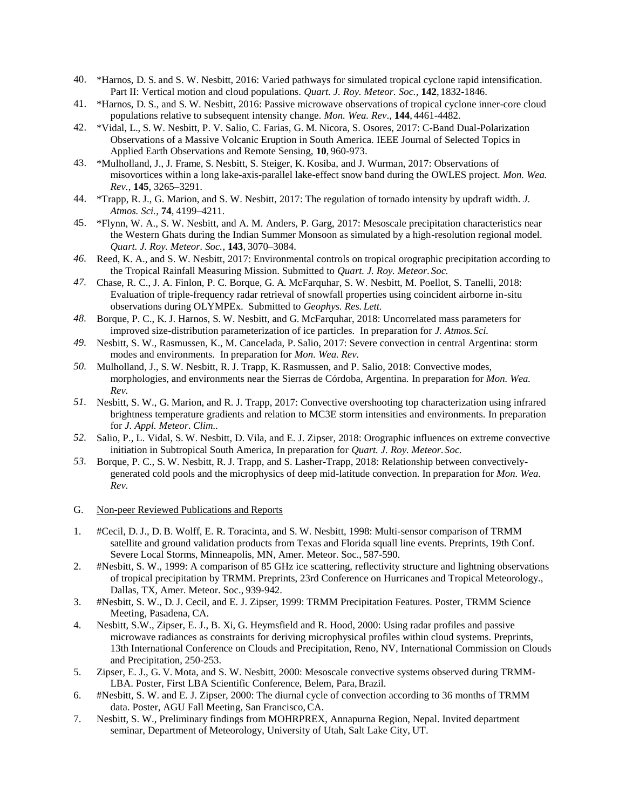- 40. \*Harnos, D. S. and S. W. Nesbitt, 2016: Varied pathways for simulated tropical cyclone rapid intensification. Part II: Vertical motion and cloud populations. *Quart. J. Roy. Meteor. Soc.,* **142**, 1832-1846.
- 41. \*Harnos, D. S., and S. W. Nesbitt, 2016: Passive microwave observations of tropical cyclone inner-core cloud populations relative to subsequent intensity change. *Mon. Wea. Rev*., **144**, 4461-4482.
- 42. \*Vidal, L., S. W. Nesbitt, P. V. Salio, C. Farias, G. M. Nicora, S. Osores, 2017: C-Band Dual-Polarization Observations of a Massive Volcanic Eruption in South America. IEEE Journal of Selected Topics in Applied Earth Observations and Remote Sensing, **10**, 960-973.
- 43. \*Mulholland, J., J. Frame, S. Nesbitt, S. Steiger, K. Kosiba, and J. Wurman, 2017: Observations of misovortices within a long lake-axis-parallel lake-effect snow band during the OWLES project. *Mon. Wea. Rev.*, **145**, 3265–3291.
- 44. \*Trapp, R. J., G. Marion, and S. W. Nesbitt, 2017: The regulation of tornado intensity by updraft width. *J. Atmos. Sci.*, **74**, 4199–4211.
- 45. \*Flynn, W. A., S. W. Nesbitt, and A. M. Anders, P. Garg, 2017: Mesoscale precipitation characteristics near the Western Ghats during the Indian Summer Monsoon as simulated by a high-resolution regional model. *Quart. J. Roy. Meteor. Soc.*, **143**, 3070–3084.
- *46.* Reed, K. A., and S. W. Nesbitt, 2017: Environmental controls on tropical orographic precipitation according to the Tropical Rainfall Measuring Mission. Submitted to *Quart. J. Roy. Meteor. Soc.*
- *47.* Chase, R. C., J. A. Finlon, P. C. Borque, G. A. McFarquhar, S. W. Nesbitt, M. Poellot, S. Tanelli, 2018: Evaluation of triple-frequency radar retrieval of snowfall properties using coincident airborne in-situ observations during OLYMPEx. Submitted to *Geophys. Res. Lett.*
- *48.* Borque, P. C., K. J. Harnos, S. W. Nesbitt, and G. McFarquhar, 2018: Uncorrelated mass parameters for improved size-distribution parameterization of ice particles. In preparation for *J. Atmos.Sci.*
- *49.* Nesbitt, S. W., Rasmussen, K., M. Cancelada, P. Salio, 2017: Severe convection in central Argentina: storm modes and environments. In preparation for *Mon. Wea. Rev.*
- *50.* Mulholland, J., S. W. Nesbitt, R. J. Trapp, K. Rasmussen, and P. Salio, 2018: Convective modes, morphologies, and environments near the Sierras de Córdoba, Argentina. In preparation for *Mon. Wea. Rev.*
- *51.* Nesbitt, S. W., G. Marion, and R. J. Trapp, 2017: Convective overshooting top characterization using infrared brightness temperature gradients and relation to MC3E storm intensities and environments. In preparation for *J. Appl. Meteor. Clim..*
- *52.* Salio, P., L. Vidal, S. W. Nesbitt, D. Vila, and E. J. Zipser, 2018: Orographic influences on extreme convective initiation in Subtropical South America, In preparation for *Quart. J. Roy. Meteor.Soc.*
- *53.* Borque, P. C., S. W. Nesbitt, R. J. Trapp, and S. Lasher-Trapp, 2018: Relationship between convectivelygenerated cold pools and the microphysics of deep mid-latitude convection. In preparation for *Mon. Wea. Rev.*
- G. Non-peer Reviewed Publications and Reports
- 1. #Cecil, D. J., D. B. Wolff, E. R. Toracinta, and S. W. Nesbitt, 1998: Multi-sensor comparison of TRMM satellite and ground validation products from Texas and Florida squall line events. Preprints, 19th Conf. Severe Local Storms, Minneapolis, MN, Amer. Meteor. Soc., 587-590.
- 2. #Nesbitt, S. W., 1999: A comparison of 85 GHz ice scattering, reflectivity structure and lightning observations of tropical precipitation by TRMM. Preprints, 23rd Conference on Hurricanes and Tropical Meteorology., Dallas, TX, Amer. Meteor. Soc., 939-942.
- 3. #Nesbitt, S. W., D. J. Cecil, and E. J. Zipser, 1999: TRMM Precipitation Features. Poster, TRMM Science Meeting, Pasadena, CA.
- 4. Nesbitt, S.W., Zipser, E. J., B. Xi, G. Heymsfield and R. Hood, 2000: Using radar profiles and passive microwave radiances as constraints for deriving microphysical profiles within cloud systems. Preprints, 13th International Conference on Clouds and Precipitation, Reno, NV, International Commission on Clouds and Precipitation, 250-253.
- 5. Zipser, E. J., G. V. Mota, and S. W. Nesbitt, 2000: Mesoscale convective systems observed during TRMM-LBA. Poster, First LBA Scientific Conference, Belem, Para,Brazil.
- 6. #Nesbitt, S. W. and E. J. Zipser, 2000: The diurnal cycle of convection according to 36 months of TRMM data. Poster, AGU Fall Meeting, San Francisco,CA.
- 7. Nesbitt, S. W., Preliminary findings from MOHRPREX, Annapurna Region, Nepal. Invited department seminar, Department of Meteorology, University of Utah, Salt Lake City, UT.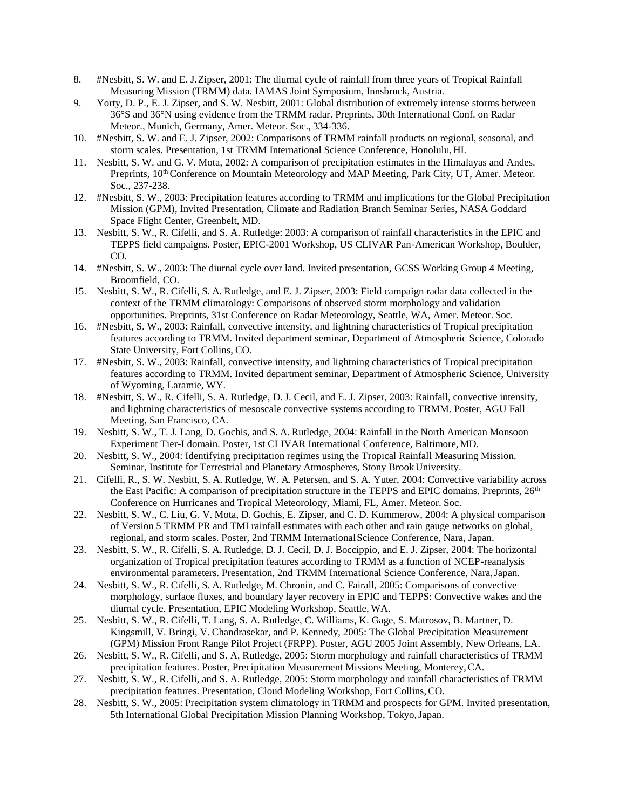- 8. #Nesbitt, S. W. and E. J.Zipser, 2001: The diurnal cycle of rainfall from three years of Tropical Rainfall Measuring Mission (TRMM) data. IAMAS Joint Symposium, Innsbruck, Austria.
- 9. Yorty, D. P., E. J. Zipser, and S. W. Nesbitt, 2001: Global distribution of extremely intense storms between 36°S and 36°N using evidence from the TRMM radar. Preprints, 30th International Conf. on Radar Meteor., Munich, Germany, Amer. Meteor. Soc., 334-336.
- 10. #Nesbitt, S. W. and E. J. Zipser, 2002: Comparisons of TRMM rainfall products on regional, seasonal, and storm scales. Presentation, 1st TRMM International Science Conference, Honolulu, HI.
- 11. Nesbitt, S. W. and G. V. Mota, 2002: A comparison of precipitation estimates in the Himalayas and Andes. Preprints, 10<sup>th</sup> Conference on Mountain Meteorology and MAP Meeting, Park City, UT, Amer. Meteor. Soc., 237-238.
- 12. #Nesbitt, S. W., 2003: Precipitation features according to TRMM and implications for the Global Precipitation Mission (GPM), Invited Presentation, Climate and Radiation Branch Seminar Series, NASA Goddard Space Flight Center, Greenbelt, MD.
- 13. Nesbitt, S. W., R. Cifelli, and S. A. Rutledge: 2003: A comparison of rainfall characteristics in the EPIC and TEPPS field campaigns. Poster, EPIC-2001 Workshop, US CLIVAR Pan-American Workshop, Boulder, CO.
- 14. #Nesbitt, S. W., 2003: The diurnal cycle over land. Invited presentation, GCSS Working Group 4 Meeting, Broomfield, CO.
- 15. Nesbitt, S. W., R. Cifelli, S. A. Rutledge, and E. J. Zipser, 2003: Field campaign radar data collected in the context of the TRMM climatology: Comparisons of observed storm morphology and validation opportunities. Preprints, 31st Conference on Radar Meteorology, Seattle, WA, Amer. Meteor. Soc.
- 16. #Nesbitt, S. W., 2003: Rainfall, convective intensity, and lightning characteristics of Tropical precipitation features according to TRMM. Invited department seminar, Department of Atmospheric Science, Colorado State University, Fort Collins, CO.
- 17. #Nesbitt, S. W., 2003: Rainfall, convective intensity, and lightning characteristics of Tropical precipitation features according to TRMM. Invited department seminar, Department of Atmospheric Science, University of Wyoming, Laramie, WY.
- 18. #Nesbitt, S. W., R. Cifelli, S. A. Rutledge, D. J. Cecil, and E. J. Zipser, 2003: Rainfall, convective intensity, and lightning characteristics of mesoscale convective systems according to TRMM. Poster, AGU Fall Meeting, San Francisco, CA.
- 19. Nesbitt, S. W., T. J. Lang, D. Gochis, and S. A. Rutledge, 2004: Rainfall in the North American Monsoon Experiment Tier-I domain. Poster, 1st CLIVAR International Conference, Baltimore, MD.
- 20. Nesbitt, S. W., 2004: Identifying precipitation regimes using the Tropical Rainfall Measuring Mission. Seminar, Institute for Terrestrial and Planetary Atmospheres, Stony Brook University.
- 21. Cifelli, R., S. W. Nesbitt, S. A. Rutledge, W. A. Petersen, and S. A. Yuter, 2004: Convective variability across the East Pacific: A comparison of precipitation structure in the TEPPS and EPIC domains. Preprints,  $26<sup>th</sup>$ Conference on Hurricanes and Tropical Meteorology, Miami, FL, Amer. Meteor. Soc.
- 22. Nesbitt, S. W., C. Liu, G. V. Mota, D. Gochis, E. Zipser, and C. D. Kummerow, 2004: A physical comparison of Version 5 TRMM PR and TMI rainfall estimates with each other and rain gauge networks on global, regional, and storm scales. Poster, 2nd TRMM InternationalScience Conference, Nara, Japan.
- 23. Nesbitt, S. W., R. Cifelli, S. A. Rutledge, D. J. Cecil, D. J. Boccippio, and E. J. Zipser, 2004: The horizontal organization of Tropical precipitation features according to TRMM as a function of NCEP-reanalysis environmental parameters. Presentation, 2nd TRMM International Science Conference, Nara,Japan.
- 24. Nesbitt, S. W., R. Cifelli, S. A. Rutledge, M. Chronin, and C. Fairall, 2005: Comparisons of convective morphology, surface fluxes, and boundary layer recovery in EPIC and TEPPS: Convective wakes and the diurnal cycle. Presentation, EPIC Modeling Workshop, Seattle, WA.
- 25. Nesbitt, S. W., R. Cifelli, T. Lang, S. A. Rutledge, C. Williams, K. Gage, S. Matrosov, B. Martner, D. Kingsmill, V. Bringi, V. Chandrasekar, and P. Kennedy, 2005: The Global Precipitation Measurement (GPM) Mission Front Range Pilot Project (FRPP). Poster, AGU 2005 Joint Assembly, New Orleans, LA.
- 26. Nesbitt, S. W., R. Cifelli, and S. A. Rutledge, 2005: Storm morphology and rainfall characteristics of TRMM precipitation features. Poster, Precipitation Measurement Missions Meeting, Monterey,CA.
- 27. Nesbitt, S. W., R. Cifelli, and S. A. Rutledge, 2005: Storm morphology and rainfall characteristics of TRMM precipitation features. Presentation, Cloud Modeling Workshop, Fort Collins,CO.
- 28. Nesbitt, S. W., 2005: Precipitation system climatology in TRMM and prospects for GPM. Invited presentation, 5th International Global Precipitation Mission Planning Workshop, Tokyo,Japan.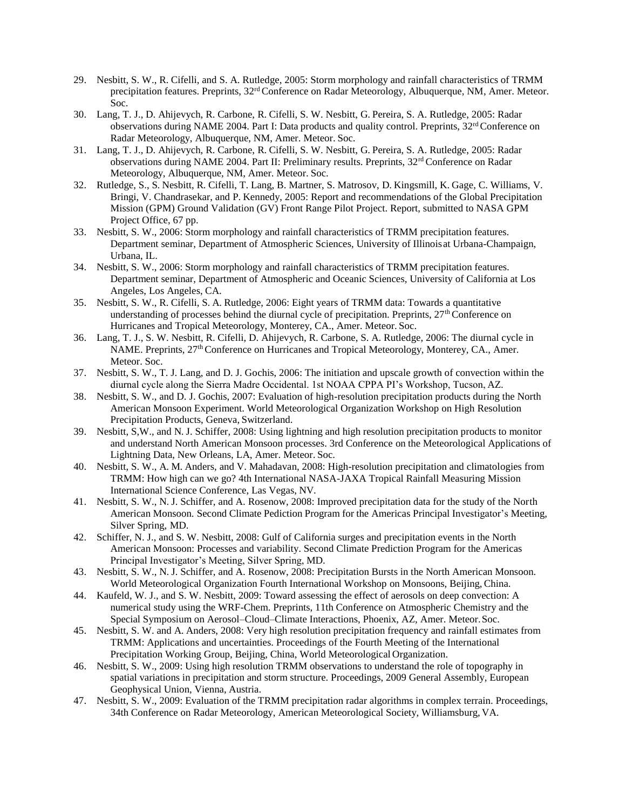- 29. Nesbitt, S. W., R. Cifelli, and S. A. Rutledge, 2005: Storm morphology and rainfall characteristics of TRMM precipitation features. Preprints,  $32<sup>rd</sup>$  Conference on Radar Meteorology, Albuquerque, NM, Amer. Meteor. Soc.
- 30. Lang, T. J., D. Ahijevych, R. Carbone, R. Cifelli, S. W. Nesbitt, G. Pereira, S. A. Rutledge, 2005: Radar observations during NAME 2004. Part I: Data products and quality control. Preprints, 32rd Conference on Radar Meteorology, Albuquerque, NM, Amer. Meteor. Soc.
- 31. Lang, T. J., D. Ahijevych, R. Carbone, R. Cifelli, S. W. Nesbitt, G. Pereira, S. A. Rutledge, 2005: Radar observations during NAME 2004. Part II: Preliminary results. Preprints,  $32<sup>rd</sup>$  Conference on Radar Meteorology, Albuquerque, NM, Amer. Meteor. Soc.
- 32. Rutledge, S., S. Nesbitt, R. Cifelli, T. Lang, B. Martner, S. Matrosov, D. Kingsmill, K. Gage, C. Williams, V. Bringi, V. Chandrasekar, and P. Kennedy, 2005: Report and recommendations of the Global Precipitation Mission (GPM) Ground Validation (GV) Front Range Pilot Project. Report, submitted to NASA GPM Project Office, 67 pp.
- 33. Nesbitt, S. W., 2006: Storm morphology and rainfall characteristics of TRMM precipitation features. Department seminar, Department of Atmospheric Sciences, University of Illinoisat Urbana-Champaign, Urbana, IL.
- 34. Nesbitt, S. W., 2006: Storm morphology and rainfall characteristics of TRMM precipitation features. Department seminar, Department of Atmospheric and Oceanic Sciences, University of California at Los Angeles, Los Angeles, CA.
- 35. Nesbitt, S. W., R. Cifelli, S. A. Rutledge, 2006: Eight years of TRMM data: Towards a quantitative understanding of processes behind the diurnal cycle of precipitation. Preprints, 27<sup>th</sup> Conference on Hurricanes and Tropical Meteorology, Monterey, CA., Amer. Meteor. Soc.
- 36. Lang, T. J., S. W. Nesbitt, R. Cifelli, D. Ahijevych, R. Carbone, S. A. Rutledge, 2006: The diurnal cycle in NAME. Preprints, 27<sup>th</sup> Conference on Hurricanes and Tropical Meteorology, Monterey, CA., Amer. Meteor. Soc.
- 37. Nesbitt, S. W., T. J. Lang, and D. J. Gochis, 2006: The initiation and upscale growth of convection within the diurnal cycle along the Sierra Madre Occidental. 1st NOAA CPPA PI's Workshop, Tucson, AZ.
- 38. Nesbitt, S. W., and D. J. Gochis, 2007: Evaluation of high-resolution precipitation products during the North American Monsoon Experiment. World Meteorological Organization Workshop on High Resolution Precipitation Products, Geneva, Switzerland.
- 39. Nesbitt, S,W., and N. J. Schiffer, 2008: Using lightning and high resolution precipitation products to monitor and understand North American Monsoon processes. 3rd Conference on the Meteorological Applications of Lightning Data, New Orleans, LA, Amer. Meteor. Soc.
- 40. Nesbitt, S. W., A. M. Anders, and V. Mahadavan, 2008: High-resolution precipitation and climatologies from TRMM: How high can we go? 4th International NASA-JAXA Tropical Rainfall Measuring Mission International Science Conference, Las Vegas, NV.
- 41. Nesbitt, S. W., N. J. Schiffer, and A. Rosenow, 2008: Improved precipitation data for the study of the North American Monsoon. Second Climate Pediction Program for the Americas Principal Investigator's Meeting, Silver Spring, MD.
- 42. Schiffer, N. J., and S. W. Nesbitt, 2008: Gulf of California surges and precipitation events in the North American Monsoon: Processes and variability. Second Climate Prediction Program for the Americas Principal Investigator's Meeting, Silver Spring, MD.
- 43. Nesbitt, S. W., N. J. Schiffer, and A. Rosenow, 2008: Precipitation Bursts in the North American Monsoon. World Meteorological Organization Fourth International Workshop on Monsoons, Beijing, China.
- 44. Kaufeld, W. J., and S. W. Nesbitt, 2009: Toward assessing the effect of aerosols on deep convection: A numerical study using the WRF-Chem. Preprints, 11th Conference on Atmospheric Chemistry and the Special Symposium on Aerosol–Cloud–Climate Interactions, Phoenix, AZ, Amer. Meteor.Soc.
- 45. Nesbitt, S. W. and A. Anders, 2008: Very high resolution precipitation frequency and rainfall estimates from TRMM: Applications and uncertainties. Proceedings of the Fourth Meeting of the International Precipitation Working Group, Beijing, China, World Meteorological Organization.
- 46. Nesbitt, S. W., 2009: Using high resolution TRMM observations to understand the role of topography in spatial variations in precipitation and storm structure. Proceedings, 2009 General Assembly, European Geophysical Union, Vienna, Austria.
- 47. Nesbitt, S. W., 2009: Evaluation of the TRMM precipitation radar algorithms in complex terrain. Proceedings, 34th Conference on Radar Meteorology, American Meteorological Society, Williamsburg, VA.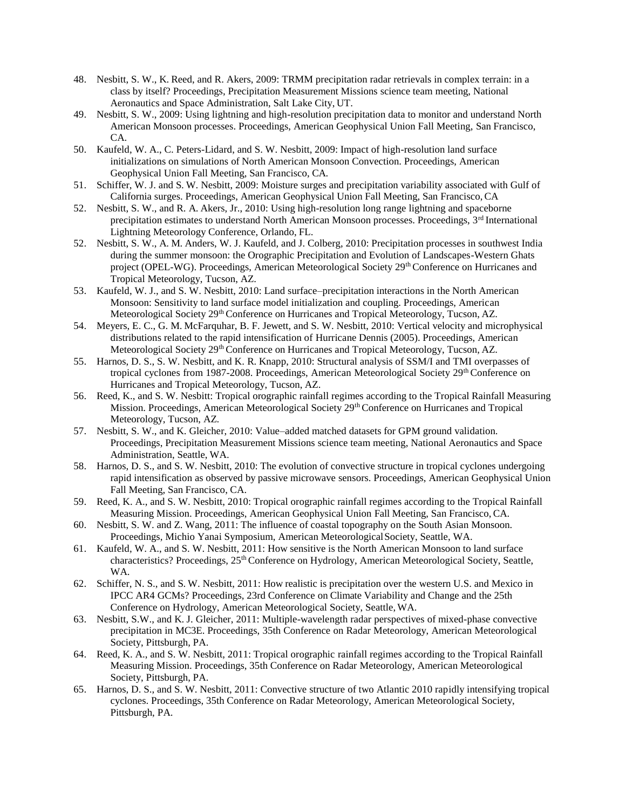- 48. Nesbitt, S. W., K. Reed, and R. Akers, 2009: TRMM precipitation radar retrievals in complex terrain: in a class by itself? Proceedings, Precipitation Measurement Missions science team meeting, National Aeronautics and Space Administration, Salt Lake City, UT.
- 49. Nesbitt, S. W., 2009: Using lightning and high-resolution precipitation data to monitor and understand North American Monsoon processes. Proceedings, American Geophysical Union Fall Meeting, San Francisco, CA.
- 50. Kaufeld, W. A., C. Peters-Lidard, and S. W. Nesbitt, 2009: Impact of high-resolution land surface initializations on simulations of North American Monsoon Convection. Proceedings, American Geophysical Union Fall Meeting, San Francisco, CA.
- 51. Schiffer, W. J. and S. W. Nesbitt, 2009: Moisture surges and precipitation variability associated with Gulf of California surges. Proceedings, American Geophysical Union Fall Meeting, San Francisco,CA
- 52. Nesbitt, S. W., and R. A. Akers, Jr., 2010: Using high-resolution long range lightning and spaceborne precipitation estimates to understand North American Monsoon processes. Proceedings, 3rd International Lightning Meteorology Conference, Orlando, FL.
- 52. Nesbitt, S. W., A. M. Anders, W. J. Kaufeld, and J. Colberg, 2010: Precipitation processes in southwest India during the summer monsoon: the Orographic Precipitation and Evolution of Landscapes-Western Ghats project (OPEL-WG). Proceedings, American Meteorological Society 29<sup>th</sup> Conference on Hurricanes and Tropical Meteorology, Tucson, AZ.
- 53. Kaufeld, W. J., and S. W. Nesbitt, 2010: Land surface–precipitation interactions in the North American Monsoon: Sensitivity to land surface model initialization and coupling. Proceedings, American Meteorological Society 29<sup>th</sup> Conference on Hurricanes and Tropical Meteorology, Tucson, AZ.
- 54. Meyers, E. C., G. M. McFarquhar, B. F. Jewett, and S. W. Nesbitt, 2010: Vertical velocity and microphysical distributions related to the rapid intensification of Hurricane Dennis (2005). Proceedings, American Meteorological Society 29<sup>th</sup> Conference on Hurricanes and Tropical Meteorology, Tucson, AZ.
- 55. Harnos, D. S., S. W. Nesbitt, and K. R. Knapp, 2010: Structural analysis of SSM/I and TMI overpasses of tropical cyclones from 1987-2008. Proceedings, American Meteorological Society 29<sup>th</sup> Conference on Hurricanes and Tropical Meteorology, Tucson, AZ.
- 56. Reed, K., and S. W. Nesbitt: Tropical orographic rainfall regimes according to the Tropical Rainfall Measuring Mission. Proceedings, American Meteorological Society 29th Conference on Hurricanes and Tropical Meteorology, Tucson, AZ.
- 57. Nesbitt, S. W., and K. Gleicher, 2010: Value–added matched datasets for GPM ground validation. Proceedings, Precipitation Measurement Missions science team meeting, National Aeronautics and Space Administration, Seattle, WA.
- 58. Harnos, D. S., and S. W. Nesbitt, 2010: The evolution of convective structure in tropical cyclones undergoing rapid intensification as observed by passive microwave sensors. Proceedings, American Geophysical Union Fall Meeting, San Francisco, CA.
- 59. Reed, K. A., and S. W. Nesbitt, 2010: Tropical orographic rainfall regimes according to the Tropical Rainfall Measuring Mission. Proceedings, American Geophysical Union Fall Meeting, San Francisco,CA.
- 60. Nesbitt, S. W. and Z. Wang, 2011: The influence of coastal topography on the South Asian Monsoon. Proceedings, Michio Yanai Symposium, American MeteorologicalSociety, Seattle, WA.
- 61. Kaufeld, W. A., and S. W. Nesbitt, 2011: How sensitive is the North American Monsoon to land surface characteristics? Proceedings, 25<sup>th</sup> Conference on Hydrology, American Meteorological Society, Seattle, WA.
- 62. Schiffer, N. S., and S. W. Nesbitt, 2011: How realistic is precipitation over the western U.S. and Mexico in IPCC AR4 GCMs? Proceedings, 23rd Conference on Climate Variability and Change and the 25th Conference on Hydrology, American Meteorological Society, Seattle,WA.
- 63. Nesbitt, S.W., and K. J. Gleicher, 2011: Multiple-wavelength radar perspectives of mixed-phase convective precipitation in MC3E. Proceedings, 35th Conference on Radar Meteorology, American Meteorological Society, Pittsburgh, PA.
- 64. Reed, K. A., and S. W. Nesbitt, 2011: Tropical orographic rainfall regimes according to the Tropical Rainfall Measuring Mission. Proceedings, 35th Conference on Radar Meteorology, American Meteorological Society, Pittsburgh, PA.
- 65. Harnos, D. S., and S. W. Nesbitt, 2011: Convective structure of two Atlantic 2010 rapidly intensifying tropical cyclones. Proceedings, 35th Conference on Radar Meteorology, American Meteorological Society, Pittsburgh, PA.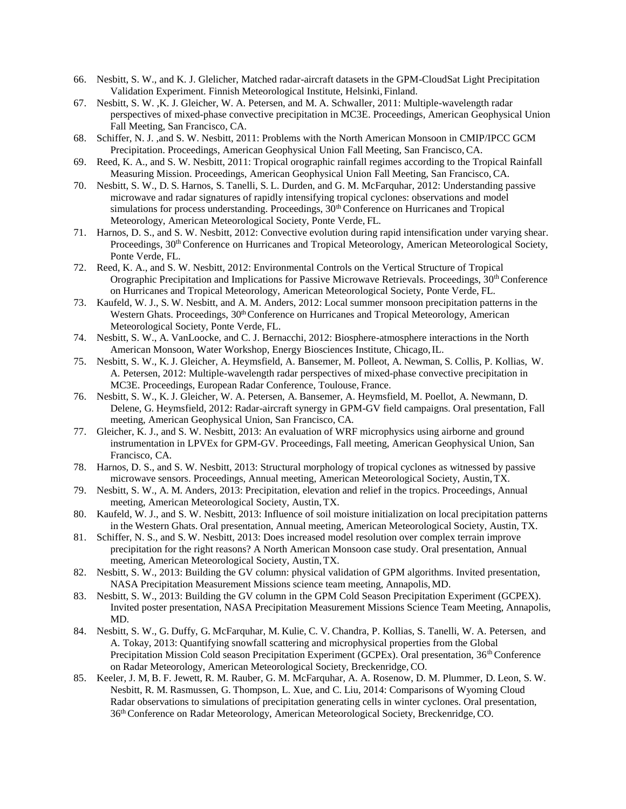- 66. Nesbitt, S. W., and K. J. Glelicher, Matched radar-aircraft datasets in the GPM-CloudSat Light Precipitation Validation Experiment. Finnish Meteorological Institute, Helsinki, Finland.
- 67. Nesbitt, S. W. ,K. J. Gleicher, W. A. Petersen, and M. A. Schwaller, 2011: Multiple-wavelength radar perspectives of mixed-phase convective precipitation in MC3E. Proceedings, American Geophysical Union Fall Meeting, San Francisco, CA.
- 68. Schiffer, N. J. ,and S. W. Nesbitt, 2011: Problems with the North American Monsoon in CMIP/IPCC GCM Precipitation. Proceedings, American Geophysical Union Fall Meeting, San Francisco, CA.
- 69. Reed, K. A., and S. W. Nesbitt, 2011: Tropical orographic rainfall regimes according to the Tropical Rainfall Measuring Mission. Proceedings, American Geophysical Union Fall Meeting, San Francisco, CA.
- 70. Nesbitt, S. W., D. S. Harnos, S. Tanelli, S. L. Durden, and G. M. McFarquhar, 2012: Understanding passive microwave and radar signatures of rapidly intensifying tropical cyclones: observations and model simulations for process understanding. Proceedings,  $30<sup>th</sup>$  Conference on Hurricanes and Tropical Meteorology, American Meteorological Society, Ponte Verde, FL.
- 71. Harnos, D. S., and S. W. Nesbitt, 2012: Convective evolution during rapid intensification under varying shear. Proceedings, 30<sup>th</sup> Conference on Hurricanes and Tropical Meteorology, American Meteorological Society, Ponte Verde, FL.
- 72. Reed, K. A., and S. W. Nesbitt, 2012: Environmental Controls on the Vertical Structure of Tropical Orographic Precipitation and Implications for Passive Microwave Retrievals. Proceedings,  $30<sup>th</sup>$  Conference on Hurricanes and Tropical Meteorology, American Meteorological Society, Ponte Verde, FL.
- 73. Kaufeld, W. J., S. W. Nesbitt, and A. M. Anders, 2012: Local summer monsoon precipitation patterns in the Western Ghats. Proceedings, 30<sup>th</sup> Conference on Hurricanes and Tropical Meteorology, American Meteorological Society, Ponte Verde, FL.
- 74. Nesbitt, S. W., A. VanLoocke, and C. J. Bernacchi, 2012: Biosphere-atmosphere interactions in the North American Monsoon, Water Workshop, Energy Biosciences Institute, Chicago, IL.
- 75. Nesbitt, S. W., K. J. Gleicher, A. Heymsfield, A. Bansemer, M. Polleot, A. Newman, S. Collis, P. Kollias, W. A. Petersen, 2012: Multiple-wavelength radar perspectives of mixed-phase convective precipitation in MC3E. Proceedings, European Radar Conference, Toulouse, France.
- 76. Nesbitt, S. W., K. J. Gleicher, W. A. Petersen, A. Bansemer, A. Heymsfield, M. Poellot, A. Newmann, D. Delene, G. Heymsfield, 2012: Radar-aircraft synergy in GPM-GV field campaigns. Oral presentation, Fall meeting, American Geophysical Union, San Francisco, CA.
- 77. Gleicher, K. J., and S. W. Nesbitt, 2013: An evaluation of WRF microphysics using airborne and ground instrumentation in LPVEx for GPM-GV. Proceedings, Fall meeting, American Geophysical Union, San Francisco, CA.
- 78. Harnos, D. S., and S. W. Nesbitt, 2013: Structural morphology of tropical cyclones as witnessed by passive microwave sensors. Proceedings, Annual meeting, American Meteorological Society, Austin,TX.
- 79. Nesbitt, S. W., A. M. Anders, 2013: Precipitation, elevation and relief in the tropics. Proceedings, Annual meeting, American Meteorological Society, Austin, TX.
- 80. Kaufeld, W. J., and S. W. Nesbitt, 2013: Influence of soil moisture initialization on local precipitation patterns in the Western Ghats. Oral presentation, Annual meeting, American Meteorological Society, Austin, TX.
- 81. Schiffer, N. S., and S. W. Nesbitt, 2013: Does increased model resolution over complex terrain improve precipitation for the right reasons? A North American Monsoon case study. Oral presentation, Annual meeting, American Meteorological Society, Austin,TX.
- 82. Nesbitt, S. W., 2013: Building the GV column: physical validation of GPM algorithms. Invited presentation, NASA Precipitation Measurement Missions science team meeting, Annapolis,MD.
- 83. Nesbitt, S. W., 2013: Building the GV column in the GPM Cold Season Precipitation Experiment (GCPEX). Invited poster presentation, NASA Precipitation Measurement Missions Science Team Meeting, Annapolis, MD.
- 84. Nesbitt, S. W., G. Duffy, G. McFarquhar, M. Kulie, C. V. Chandra, P. Kollias, S. Tanelli, W. A. Petersen, and A. Tokay, 2013: Quantifying snowfall scattering and microphysical properties from the Global Precipitation Mission Cold season Precipitation Experiment (GCPEx). Oral presentation, 36<sup>th</sup> Conference on Radar Meteorology, American Meteorological Society, Breckenridge, CO.
- 85. Keeler, J. M, B. F. Jewett, R. M. Rauber, G. M. McFarquhar, A. A. Rosenow, D. M. Plummer, D. Leon, S. W. Nesbitt, R. M. Rasmussen, G. Thompson, L. Xue, and C. Liu, 2014: Comparisons of Wyoming Cloud Radar observations to simulations of precipitation generating cells in winter cyclones. Oral presentation, 36th Conference on Radar Meteorology, American Meteorological Society, Breckenridge,CO.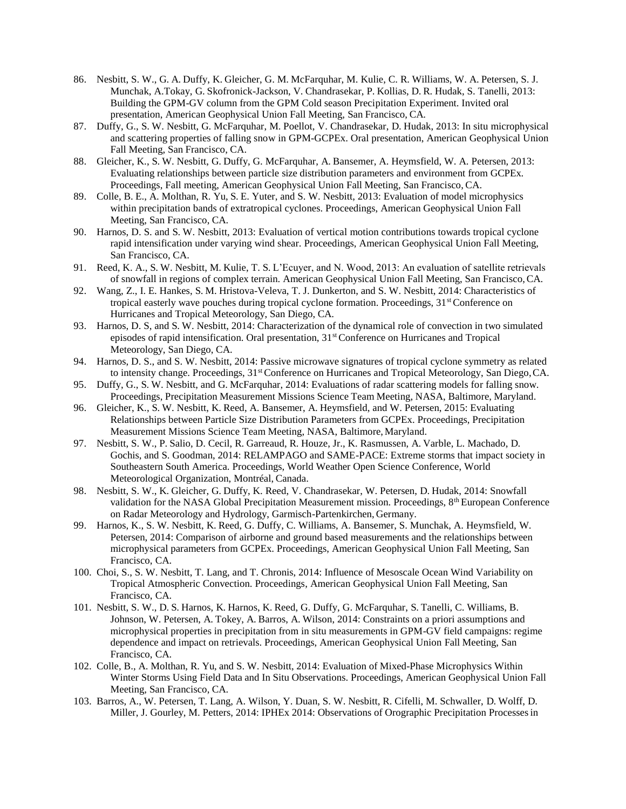- 86. Nesbitt, S. W., G. A. Duffy, K. Gleicher, G. M. McFarquhar, M. Kulie, C. R. Williams, W. A. Petersen, S. J. Munchak, A.Tokay, G. Skofronick-Jackson, V. Chandrasekar, P. Kollias, D. R. Hudak, S. Tanelli, 2013: Building the GPM-GV column from the GPM Cold season Precipitation Experiment. Invited oral presentation, American Geophysical Union Fall Meeting, San Francisco, CA.
- 87. Duffy, G., S. W. Nesbitt, G. McFarquhar, M. Poellot, V. Chandrasekar, D. Hudak, 2013: In situ microphysical and scattering properties of falling snow in GPM-GCPEx. Oral presentation, American Geophysical Union Fall Meeting, San Francisco, CA.
- 88. Gleicher, K., S. W. Nesbitt, G. Duffy, G. McFarquhar, A. Bansemer, A. Heymsfield, W. A. Petersen, 2013: Evaluating relationships between particle size distribution parameters and environment from GCPEx. Proceedings, Fall meeting, American Geophysical Union Fall Meeting, San Francisco, CA.
- 89. Colle, B. E., A. Molthan, R. Yu, S. E. Yuter, and S. W. Nesbitt, 2013: Evaluation of model microphysics within precipitation bands of extratropical cyclones. Proceedings, American Geophysical Union Fall Meeting, San Francisco, CA.
- 90. Harnos, D. S. and S. W. Nesbitt, 2013: Evaluation of vertical motion contributions towards tropical cyclone rapid intensification under varying wind shear. Proceedings, American Geophysical Union Fall Meeting, San Francisco, CA.
- 91. Reed, K. A., S. W. Nesbitt, M. Kulie, T. S. L'Ecuyer, and N. Wood, 2013: An evaluation of satellite retrievals of snowfall in regions of complex terrain. American Geophysical Union Fall Meeting, San Francisco,CA.
- 92. Wang, Z., I. E. Hankes, S. M. Hristova-Veleva, T. J. Dunkerton, and S. W. Nesbitt, 2014: Characteristics of tropical easterly wave pouches during tropical cyclone formation. Proceedings, 31<sup>st</sup> Conference on Hurricanes and Tropical Meteorology, San Diego, CA.
- 93. Harnos, D. S, and S. W. Nesbitt, 2014: Characterization of the dynamical role of convection in two simulated episodes of rapid intensification. Oral presentation, 31<sup>st</sup> Conference on Hurricanes and Tropical Meteorology, San Diego, CA.
- 94. Harnos, D. S., and S. W. Nesbitt, 2014: Passive microwave signatures of tropical cyclone symmetry as related to intensity change. Proceedings, 31<sup>st</sup> Conference on Hurricanes and Tropical Meteorology, San Diego, CA.
- 95. Duffy, G., S. W. Nesbitt, and G. McFarquhar, 2014: Evaluations of radar scattering models for falling snow. Proceedings, Precipitation Measurement Missions Science Team Meeting, NASA, Baltimore, Maryland.
- 96. Gleicher, K., S. W. Nesbitt, K. Reed, A. Bansemer, A. Heymsfield, and W. Petersen, 2015: Evaluating Relationships between Particle Size Distribution Parameters from GCPEx. Proceedings, Precipitation Measurement Missions Science Team Meeting, NASA, Baltimore,Maryland.
- 97. Nesbitt, S. W., P. Salio, D. Cecil, R. Garreaud, R. Houze, Jr., K. Rasmussen, A. Varble, L. Machado, D. Gochis, and S. Goodman, 2014: RELAMPAGO and SAME-PACE: Extreme storms that impact society in Southeastern South America. Proceedings, World Weather Open Science Conference, World Meteorological Organization, Montréal, Canada.
- 98. Nesbitt, S. W., K. Gleicher, G. Duffy, K. Reed, V. Chandrasekar, W. Petersen, D. Hudak, 2014: Snowfall validation for the NASA Global Precipitation Measurement mission. Proceedings,  $8<sup>th</sup>$  European Conference on Radar Meteorology and Hydrology, Garmisch-Partenkirchen, Germany.
- 99. Harnos, K., S. W. Nesbitt, K. Reed, G. Duffy, C. Williams, A. Bansemer, S. Munchak, A. Heymsfield, W. Petersen, 2014: Comparison of airborne and ground based measurements and the relationships between microphysical parameters from GCPEx. Proceedings, American Geophysical Union Fall Meeting, San Francisco, CA.
- 100. Choi, S., S. W. Nesbitt, T. Lang, and T. Chronis, 2014: Influence of Mesoscale Ocean Wind Variability on Tropical Atmospheric Convection. Proceedings, American Geophysical Union Fall Meeting, San Francisco, CA.
- 101. Nesbitt, S. W., D. S. Harnos, K. Harnos, K. Reed, G. Duffy, G. McFarquhar, S. Tanelli, C. Williams, B. Johnson, W. Petersen, A. Tokey, A. Barros, A. Wilson, 2014: Constraints on a priori assumptions and microphysical properties in precipitation from in situ measurements in GPM-GV field campaigns: regime dependence and impact on retrievals. Proceedings, American Geophysical Union Fall Meeting, San Francisco, CA.
- 102. Colle, B., A. Molthan, R. Yu, and S. W. Nesbitt, 2014: Evaluation of Mixed-Phase Microphysics Within Winter Storms Using Field Data and In Situ Observations. Proceedings, American Geophysical Union Fall Meeting, San Francisco, CA.
- 103. Barros, A., W. Petersen, T. Lang, A. Wilson, Y. Duan, S. W. Nesbitt, R. Cifelli, M. Schwaller, D. Wolff, D. Miller, J. Gourley, M. Petters, 2014: IPHEx 2014: Observations of Orographic Precipitation Processesin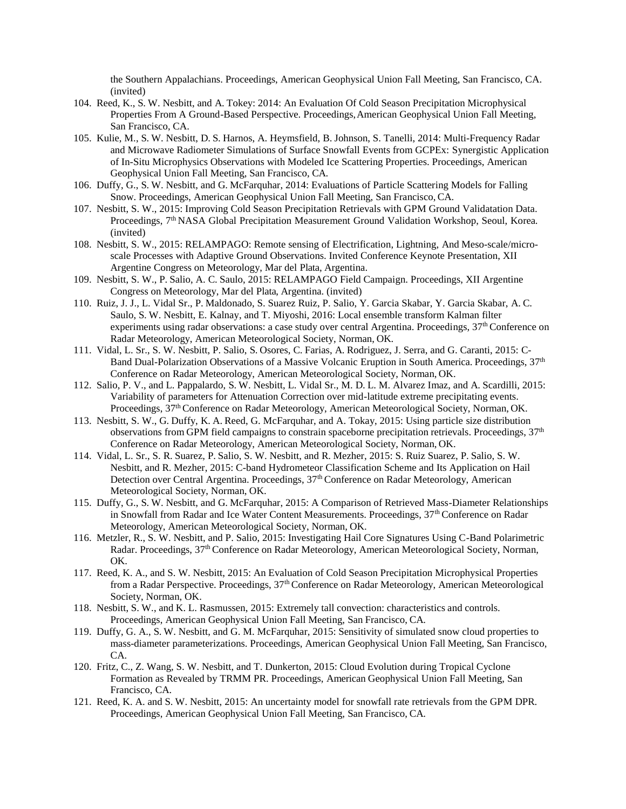the Southern Appalachians. Proceedings, American Geophysical Union Fall Meeting, San Francisco, CA. (invited)

- 104. Reed, K., S. W. Nesbitt, and A. Tokey: 2014: An Evaluation Of Cold Season Precipitation Microphysical Properties From A Ground-Based Perspective. Proceedings,American Geophysical Union Fall Meeting, San Francisco, CA.
- 105. Kulie, M., S. W. Nesbitt, D. S. Harnos, A. Heymsfield, B. Johnson, S. Tanelli, 2014: Multi-Frequency Radar and Microwave Radiometer Simulations of Surface Snowfall Events from GCPEx: Synergistic Application of In-Situ Microphysics Observations with Modeled Ice Scattering Properties. Proceedings, American Geophysical Union Fall Meeting, San Francisco, CA.
- 106. Duffy, G., S. W. Nesbitt, and G. McFarquhar, 2014: Evaluations of Particle Scattering Models for Falling Snow. Proceedings, American Geophysical Union Fall Meeting, San Francisco, CA.
- 107. Nesbitt, S. W., 2015: Improving Cold Season Precipitation Retrievals with GPM Ground Validatation Data. Proceedings, 7<sup>th</sup> NASA Global Precipitation Measurement Ground Validation Workshop, Seoul, Korea. (invited)
- 108. Nesbitt, S. W., 2015: RELAMPAGO: Remote sensing of Electrification, Lightning, And Meso-scale/microscale Processes with Adaptive Ground Observations. Invited Conference Keynote Presentation, XII Argentine Congress on Meteorology, Mar del Plata, Argentina.
- 109. Nesbitt, S. W., P. Salio, A. C. Saulo, 2015: RELAMPAGO Field Campaign. Proceedings, XII Argentine Congress on Meteorology, Mar del Plata, Argentina. (invited)
- 110. Ruiz, J. J., L. Vidal Sr., P. Maldonado, S. Suarez Ruiz, P. Salio, Y. Garcia Skabar, Y. Garcia Skabar, A. C. Saulo, S. W. Nesbitt, E. Kalnay, and T. Miyoshi, 2016: Local ensemble transform Kalman filter experiments using radar observations: a case study over central Argentina. Proceedings,  $37<sup>th</sup>$  Conference on Radar Meteorology, American Meteorological Society, Norman, OK.
- 111. Vidal, L. Sr., S. W. Nesbitt, P. Salio, S. Osores, C. Farias, A. Rodriguez, J. Serra, and G. Caranti, 2015: C-Band Dual-Polarization Observations of a Massive Volcanic Eruption in South America. Proceedings, 37<sup>th</sup> Conference on Radar Meteorology, American Meteorological Society, Norman, OK.
- 112. Salio, P. V., and L. Pappalardo, S. W. Nesbitt, L. Vidal Sr., M. D. L. M. Alvarez Imaz, and A. Scardilli, 2015: Variability of parameters for Attenuation Correction over mid-latitude extreme precipitating events. Proceedings, 37th Conference on Radar Meteorology, American Meteorological Society, Norman, OK.
- 113. Nesbitt, S. W., G. Duffy, K. A. Reed, G. McFarquhar, and A. Tokay, 2015: Using particle size distribution observations from GPM field campaigns to constrain spaceborne precipitation retrievals. Proceedings, 37<sup>th</sup> Conference on Radar Meteorology, American Meteorological Society, Norman, OK.
- 114. Vidal, L. Sr., S. R. Suarez, P. Salio, S. W. Nesbitt, and R. Mezher, 2015: S. Ruiz Suarez, P. Salio, S. W. Nesbitt, and R. Mezher, 2015: C-band Hydrometeor Classification Scheme and Its Application on Hail Detection over Central Argentina. Proceedings, 37<sup>th</sup> Conference on Radar Meteorology, American Meteorological Society, Norman, OK.
- 115. Duffy, G., S. W. Nesbitt, and G. McFarquhar, 2015: A Comparison of Retrieved Mass-Diameter Relationships in Snowfall from Radar and Ice Water Content Measurements. Proceedings, 37th Conference on Radar Meteorology, American Meteorological Society, Norman, OK.
- 116. Metzler, R., S. W. Nesbitt, and P. Salio, 2015: Investigating Hail Core Signatures Using C-Band Polarimetric Radar. Proceedings, 37th Conference on Radar Meteorology, American Meteorological Society, Norman, OK.
- 117. Reed, K. A., and S. W. Nesbitt, 2015: An Evaluation of Cold Season Precipitation Microphysical Properties from a Radar Perspective. Proceedings,  $37<sup>th</sup>$  Conference on Radar Meteorology, American Meteorological Society, Norman, OK.
- 118. Nesbitt, S. W., and K. L. Rasmussen, 2015: Extremely tall convection: characteristics and controls. Proceedings, American Geophysical Union Fall Meeting, San Francisco, CA.
- 119. Duffy, G. A., S. W. Nesbitt, and G. M. McFarquhar, 2015: Sensitivity of simulated snow cloud properties to mass-diameter parameterizations. Proceedings, American Geophysical Union Fall Meeting, San Francisco, CA.
- 120. Fritz, C., Z. Wang, S. W. Nesbitt, and T. Dunkerton, 2015: Cloud Evolution during Tropical Cyclone Formation as Revealed by TRMM PR. Proceedings, American Geophysical Union Fall Meeting, San Francisco, CA.
- 121. Reed, K. A. and S. W. Nesbitt, 2015: An uncertainty model for snowfall rate retrievals from the GPM DPR. Proceedings, American Geophysical Union Fall Meeting, San Francisco, CA.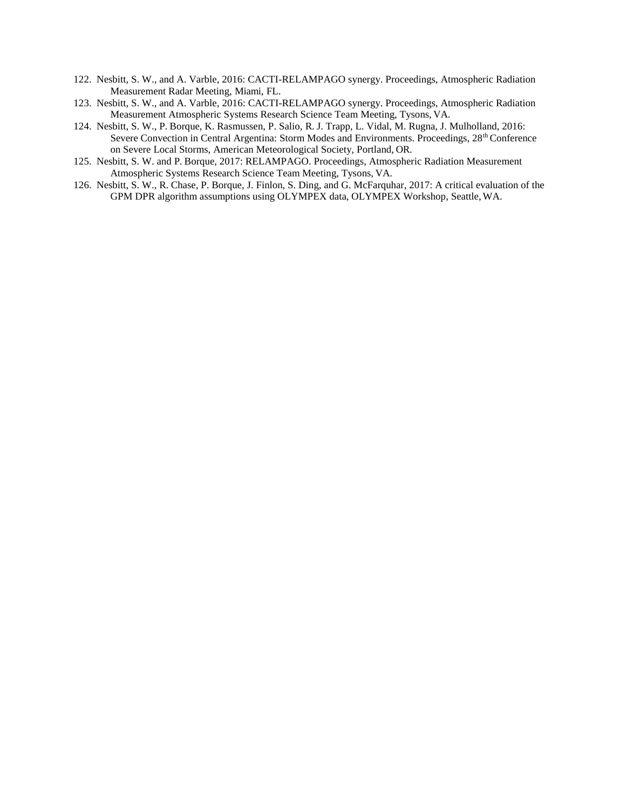- 122. Nesbitt, S. W., and A. Varble, 2016: CACTI-RELAMPAGO synergy. Proceedings, Atmospheric Radiation Measurement Radar Meeting, Miami, FL.
- 123. Nesbitt, S. W., and A. Varble, 2016: CACTI-RELAMPAGO synergy. Proceedings, Atmospheric Radiation Measurement Atmospheric Systems Research Science Team Meeting, Tysons, VA.
- 124. Nesbitt, S. W., P. Borque, K. Rasmussen, P. Salio, R. J. Trapp, L. Vidal, M. Rugna, J. Mulholland, 2016: Severe Convection in Central Argentina: Storm Modes and Environments. Proceedings, 28<sup>th</sup> Conference on Severe Local Storms, American Meteorological Society, Portland, OR.
- 125. Nesbitt, S. W. and P. Borque, 2017: RELAMPAGO. Proceedings, Atmospheric Radiation Measurement Atmospheric Systems Research Science Team Meeting, Tysons, VA.
- 126. Nesbitt, S. W., R. Chase, P. Borque, J. Finlon, S. Ding, and G. McFarquhar, 2017: A critical evaluation of the GPM DPR algorithm assumptions using OLYMPEX data, OLYMPEX Workshop, Seattle,WA.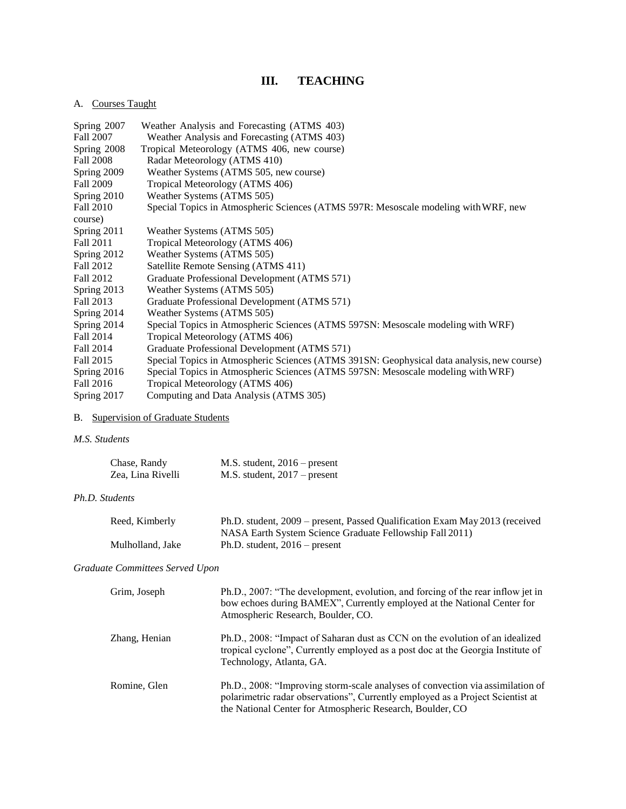# **III. TEACHING**

# A. Courses Taught

| Spring 2007 | Weather Analysis and Forecasting (ATMS 403)                                                |
|-------------|--------------------------------------------------------------------------------------------|
| Fall 2007   | Weather Analysis and Forecasting (ATMS 403)                                                |
| Spring 2008 | Tropical Meteorology (ATMS 406, new course)                                                |
| Fall 2008   | Radar Meteorology (ATMS 410)                                                               |
| Spring 2009 | Weather Systems (ATMS 505, new course)                                                     |
| Fall 2009   | Tropical Meteorology (ATMS 406)                                                            |
| Spring 2010 | Weather Systems (ATMS 505)                                                                 |
| Fall 2010   | Special Topics in Atmospheric Sciences (ATMS 597R: Mesoscale modeling with WRF, new        |
| course)     |                                                                                            |
| Spring 2011 | Weather Systems (ATMS 505)                                                                 |
| Fall 2011   | Tropical Meteorology (ATMS 406)                                                            |
| Spring 2012 | Weather Systems (ATMS 505)                                                                 |
| Fall 2012   | Satellite Remote Sensing (ATMS 411)                                                        |
| Fall 2012   | Graduate Professional Development (ATMS 571)                                               |
| Spring 2013 | Weather Systems (ATMS 505)                                                                 |
| Fall 2013   | Graduate Professional Development (ATMS 571)                                               |
| Spring 2014 | Weather Systems (ATMS 505)                                                                 |
| Spring 2014 | Special Topics in Atmospheric Sciences (ATMS 597SN: Mesoscale modeling with WRF)           |
| Fall 2014   | Tropical Meteorology (ATMS 406)                                                            |
| Fall 2014   | Graduate Professional Development (ATMS 571)                                               |
| Fall 2015   | Special Topics in Atmospheric Sciences (ATMS 391SN: Geophysical data analysis, new course) |
| Spring 2016 | Special Topics in Atmospheric Sciences (ATMS 597SN: Mesoscale modeling with WRF)           |
| Fall 2016   | Tropical Meteorology (ATMS 406)                                                            |
| Spring 2017 | Computing and Data Analysis (ATMS 305)                                                     |

# B. Supervision of Graduate Students

### *M.S. Students*

| Chase, Randy      | $M.S.$ student, $2016$ – present |
|-------------------|----------------------------------|
| Zea, Lina Rivelli | $M.S.$ student, $2017$ – present |

### *Ph.D. Students*

| Reed, Kimberly   | Ph.D. student, 2009 – present, Passed Qualification Exam May 2013 (received |
|------------------|-----------------------------------------------------------------------------|
|                  | NASA Earth System Science Graduate Fellowship Fall 2011)                    |
| Mulholland, Jake | Ph.D. student, $2016$ – present                                             |

# *Graduate Committees Served Upon*

| Grim, Joseph  | Ph.D., 2007: "The development, evolution, and forcing of the rear inflow jet in<br>bow echoes during BAMEX", Currently employed at the National Center for<br>Atmospheric Research, Boulder, CO.                              |
|---------------|-------------------------------------------------------------------------------------------------------------------------------------------------------------------------------------------------------------------------------|
| Zhang, Henian | Ph.D., 2008: "Impact of Saharan dust as CCN on the evolution of an idealized<br>tropical cyclone", Currently employed as a post doc at the Georgia Institute of<br>Technology, Atlanta, GA.                                   |
| Romine, Glen  | Ph.D., 2008: "Improving storm-scale analyses of convection via assimilation of<br>polarimetric radar observations", Currently employed as a Project Scientist at<br>the National Center for Atmospheric Research, Boulder, CO |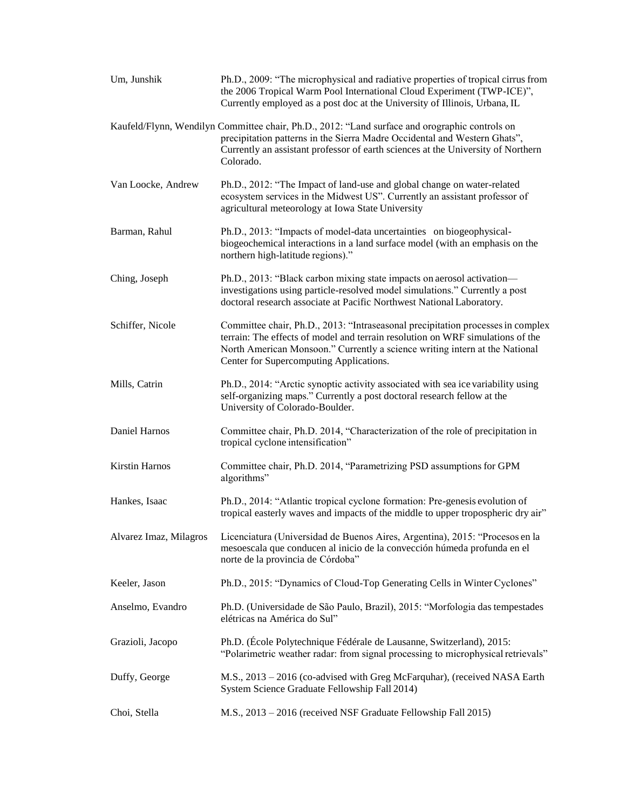| Um, Junshik            | Ph.D., 2009: "The microphysical and radiative properties of tropical cirrus from<br>the 2006 Tropical Warm Pool International Cloud Experiment (TWP-ICE)",<br>Currently employed as a post doc at the University of Illinois, Urbana, IL                                                    |
|------------------------|---------------------------------------------------------------------------------------------------------------------------------------------------------------------------------------------------------------------------------------------------------------------------------------------|
|                        | Kaufeld/Flynn, Wendilyn Committee chair, Ph.D., 2012: "Land surface and orographic controls on<br>precipitation patterns in the Sierra Madre Occidental and Western Ghats",<br>Currently an assistant professor of earth sciences at the University of Northern<br>Colorado.                |
| Van Loocke, Andrew     | Ph.D., 2012: "The Impact of land-use and global change on water-related<br>ecosystem services in the Midwest US". Currently an assistant professor of<br>agricultural meteorology at Iowa State University                                                                                  |
| Barman, Rahul          | Ph.D., 2013: "Impacts of model-data uncertainties on biogeophysical-<br>biogeochemical interactions in a land surface model (with an emphasis on the<br>northern high-latitude regions)."                                                                                                   |
| Ching, Joseph          | Ph.D., 2013: "Black carbon mixing state impacts on aerosol activation-<br>investigations using particle-resolved model simulations." Currently a post<br>doctoral research associate at Pacific Northwest National Laboratory.                                                              |
| Schiffer, Nicole       | Committee chair, Ph.D., 2013: "Intraseasonal precipitation processes in complex<br>terrain: The effects of model and terrain resolution on WRF simulations of the<br>North American Monsoon." Currently a science writing intern at the National<br>Center for Supercomputing Applications. |
| Mills, Catrin          | Ph.D., 2014: "Arctic synoptic activity associated with sea ice variability using<br>self-organizing maps." Currently a post doctoral research fellow at the<br>University of Colorado-Boulder.                                                                                              |
| Daniel Harnos          | Committee chair, Ph.D. 2014, "Characterization of the role of precipitation in<br>tropical cyclone intensification"                                                                                                                                                                         |
| <b>Kirstin Harnos</b>  | Committee chair, Ph.D. 2014, "Parametrizing PSD assumptions for GPM<br>algorithms"                                                                                                                                                                                                          |
| Hankes, Isaac          | Ph.D., 2014: "Atlantic tropical cyclone formation: Pre-genesis evolution of<br>tropical easterly waves and impacts of the middle to upper tropospheric dry air"                                                                                                                             |
| Alvarez Imaz, Milagros | Licenciatura (Universidad de Buenos Aires, Argentina), 2015: "Procesos en la<br>mesoescala que conducen al inicio de la convección húmeda profunda en el<br>norte de la provincia de Córdoba"                                                                                               |
| Keeler, Jason          | Ph.D., 2015: "Dynamics of Cloud-Top Generating Cells in Winter Cyclones"                                                                                                                                                                                                                    |
| Anselmo, Evandro       | Ph.D. (Universidade de São Paulo, Brazil), 2015: "Morfologia das tempestades<br>elétricas na América do Sul"                                                                                                                                                                                |
| Grazioli, Jacopo       | Ph.D. (École Polytechnique Fédérale de Lausanne, Switzerland), 2015:<br>"Polarimetric weather radar: from signal processing to microphysical retrievals"                                                                                                                                    |
| Duffy, George          | M.S., 2013 - 2016 (co-advised with Greg McFarquhar), (received NASA Earth<br>System Science Graduate Fellowship Fall 2014)                                                                                                                                                                  |
| Choi, Stella           | M.S., 2013 - 2016 (received NSF Graduate Fellowship Fall 2015)                                                                                                                                                                                                                              |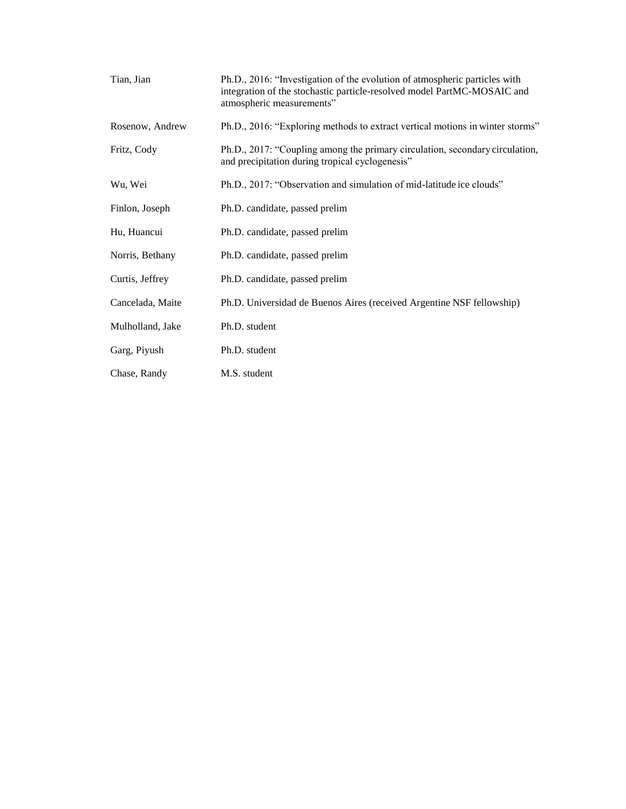| Tian, Jian       | Ph.D., 2016: "Investigation of the evolution of atmospheric particles with<br>integration of the stochastic particle-resolved model PartMC-MOSAIC and<br>atmospheric measurements" |
|------------------|------------------------------------------------------------------------------------------------------------------------------------------------------------------------------------|
| Rosenow, Andrew  | Ph.D., 2016: "Exploring methods to extract vertical motions in winter storms"                                                                                                      |
| Fritz, Cody      | Ph.D., 2017: "Coupling among the primary circulation, secondary circulation,<br>and precipitation during tropical cyclogenesis"                                                    |
| Wu, Wei          | Ph.D., 2017: "Observation and simulation of mid-latitude ice clouds"                                                                                                               |
| Finlon, Joseph   | Ph.D. candidate, passed prelim                                                                                                                                                     |
| Hu, Huancui      | Ph.D. candidate, passed prelim                                                                                                                                                     |
| Norris, Bethany  | Ph.D. candidate, passed prelim                                                                                                                                                     |
| Curtis, Jeffrey  | Ph.D. candidate, passed prelim                                                                                                                                                     |
| Cancelada, Maite | Ph.D. Universidad de Buenos Aires (received Argentine NSF fellowship)                                                                                                              |
| Mulholland, Jake | Ph.D. student                                                                                                                                                                      |
| Garg, Piyush     | Ph.D. student                                                                                                                                                                      |
| Chase, Randy     | M.S. student                                                                                                                                                                       |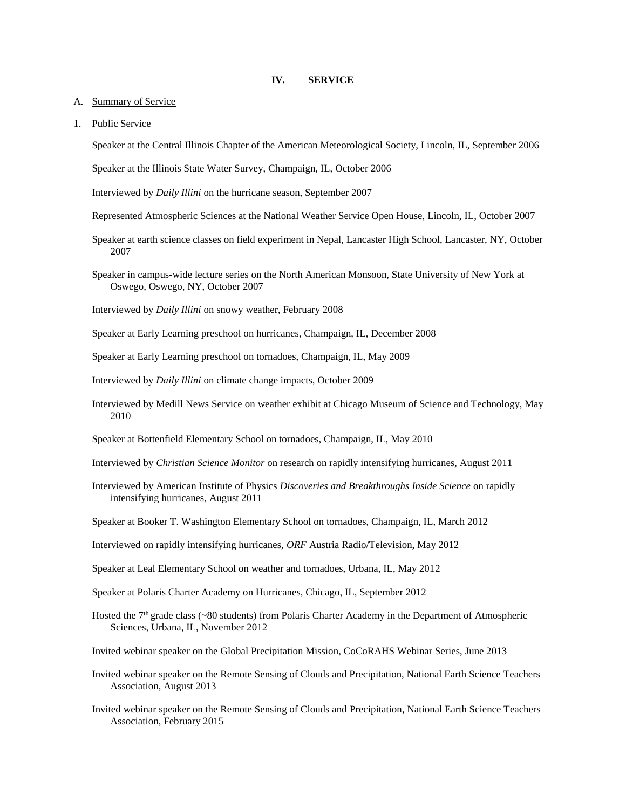### **IV. SERVICE**

- A. Summary of Service
- 1. Public Service

Speaker at the Central Illinois Chapter of the American Meteorological Society, Lincoln, IL, September 2006

Speaker at the Illinois State Water Survey, Champaign, IL, October 2006

Interviewed by *Daily Illini* on the hurricane season, September 2007

- Represented Atmospheric Sciences at the National Weather Service Open House, Lincoln, IL, October 2007
- Speaker at earth science classes on field experiment in Nepal, Lancaster High School, Lancaster, NY, October 2007
- Speaker in campus-wide lecture series on the North American Monsoon, State University of New York at Oswego, Oswego, NY, October 2007
- Interviewed by *Daily Illini* on snowy weather, February 2008
- Speaker at Early Learning preschool on hurricanes, Champaign, IL, December 2008
- Speaker at Early Learning preschool on tornadoes, Champaign, IL, May 2009
- Interviewed by *Daily Illini* on climate change impacts, October 2009
- Interviewed by Medill News Service on weather exhibit at Chicago Museum of Science and Technology, May 2010
- Speaker at Bottenfield Elementary School on tornadoes, Champaign, IL, May 2010
- Interviewed by *Christian Science Monitor* on research on rapidly intensifying hurricanes, August 2011
- Interviewed by American Institute of Physics *Discoveries and Breakthroughs Inside Science* on rapidly intensifying hurricanes, August 2011
- Speaker at Booker T. Washington Elementary School on tornadoes, Champaign, IL, March 2012
- Interviewed on rapidly intensifying hurricanes, *ORF* Austria Radio/Television, May 2012
- Speaker at Leal Elementary School on weather and tornadoes, Urbana, IL, May 2012
- Speaker at Polaris Charter Academy on Hurricanes, Chicago, IL, September 2012
- Hosted the 7<sup>th</sup> grade class (~80 students) from Polaris Charter Academy in the Department of Atmospheric Sciences, Urbana, IL, November 2012
- Invited webinar speaker on the Global Precipitation Mission, CoCoRAHS Webinar Series, June 2013
- Invited webinar speaker on the Remote Sensing of Clouds and Precipitation, National Earth Science Teachers Association, August 2013
- Invited webinar speaker on the Remote Sensing of Clouds and Precipitation, National Earth Science Teachers Association, February 2015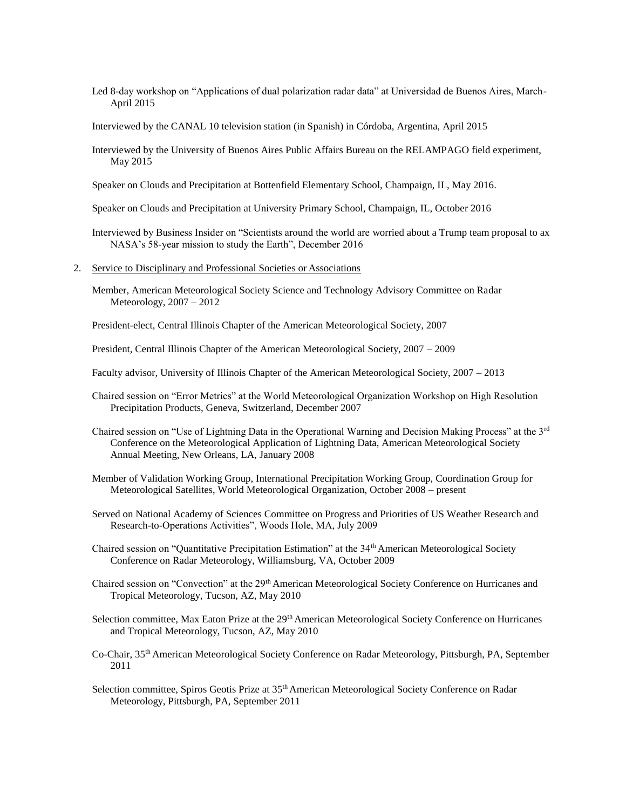- Led 8-day workshop on "Applications of dual polarization radar data" at Universidad de Buenos Aires, March-April 2015
- Interviewed by the CANAL 10 television station (in Spanish) in Córdoba, Argentina, April 2015
- Interviewed by the University of Buenos Aires Public Affairs Bureau on the RELAMPAGO field experiment, May 2015
- Speaker on Clouds and Precipitation at Bottenfield Elementary School, Champaign, IL, May 2016.
- Speaker on Clouds and Precipitation at University Primary School, Champaign, IL, October 2016
- Interviewed by Business Insider on "Scientists around the world are worried about a Trump team proposal to ax NASA's 58-year mission to study the Earth", December 2016
- 2. Service to Disciplinary and Professional Societies or Associations
	- Member, American Meteorological Society Science and Technology Advisory Committee on Radar Meteorology, 2007 – 2012

President-elect, Central Illinois Chapter of the American Meteorological Society, 2007

President, Central Illinois Chapter of the American Meteorological Society, 2007 – 2009

Faculty advisor, University of Illinois Chapter of the American Meteorological Society, 2007 – 2013

- Chaired session on "Error Metrics" at the World Meteorological Organization Workshop on High Resolution Precipitation Products, Geneva, Switzerland, December 2007
- Chaired session on "Use of Lightning Data in the Operational Warning and Decision Making Process" at the 3rd Conference on the Meteorological Application of Lightning Data, American Meteorological Society Annual Meeting, New Orleans, LA, January 2008
- Member of Validation Working Group, International Precipitation Working Group, Coordination Group for Meteorological Satellites, World Meteorological Organization, October 2008 – present
- Served on National Academy of Sciences Committee on Progress and Priorities of US Weather Research and Research-to-Operations Activities", Woods Hole, MA, July 2009
- Chaired session on "Quantitative Precipitation Estimation" at the 34th American Meteorological Society Conference on Radar Meteorology, Williamsburg, VA, October 2009
- Chaired session on "Convection" at the 29<sup>th</sup> American Meteorological Society Conference on Hurricanes and Tropical Meteorology, Tucson, AZ, May 2010
- Selection committee, Max Eaton Prize at the 29<sup>th</sup> American Meteorological Society Conference on Hurricanes and Tropical Meteorology, Tucson, AZ, May 2010
- Co-Chair, 35th American Meteorological Society Conference on Radar Meteorology, Pittsburgh, PA, September 2011
- Selection committee, Spiros Geotis Prize at 35<sup>th</sup> American Meteorological Society Conference on Radar Meteorology, Pittsburgh, PA, September 2011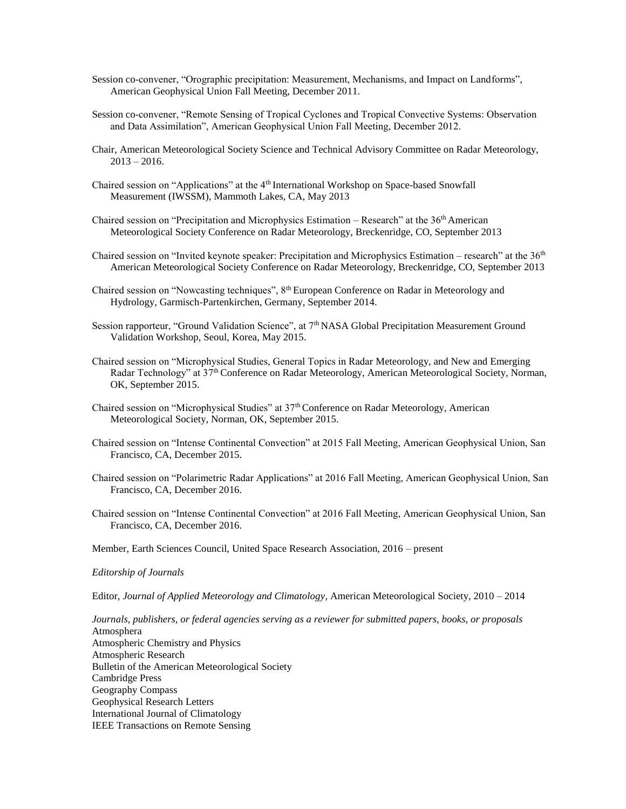- Session co-convener, "Orographic precipitation: Measurement, Mechanisms, and Impact on Landforms", American Geophysical Union Fall Meeting, December 2011.
- Session co-convener, "Remote Sensing of Tropical Cyclones and Tropical Convective Systems: Observation and Data Assimilation", American Geophysical Union Fall Meeting, December 2012.
- Chair, American Meteorological Society Science and Technical Advisory Committee on Radar Meteorology,  $2013 - 2016$ .
- Chaired session on "Applications" at the 4<sup>th</sup> International Workshop on Space-based Snowfall Measurement (IWSSM), Mammoth Lakes, CA, May 2013
- Chaired session on "Precipitation and Microphysics Estimation Research" at the 36th American Meteorological Society Conference on Radar Meteorology, Breckenridge, CO, September 2013
- Chaired session on "Invited keynote speaker: Precipitation and Microphysics Estimation research" at the 36th American Meteorological Society Conference on Radar Meteorology, Breckenridge, CO, September 2013
- Chaired session on "Nowcasting techniques", 8<sup>th</sup> European Conference on Radar in Meteorology and Hydrology, Garmisch-Partenkirchen, Germany, September 2014.
- Session rapporteur, "Ground Validation Science", at 7<sup>th</sup> NASA Global Precipitation Measurement Ground Validation Workshop, Seoul, Korea, May 2015.
- Chaired session on "Microphysical Studies, General Topics in Radar Meteorology, and New and Emerging Radar Technology" at 37<sup>th</sup> Conference on Radar Meteorology, American Meteorological Society, Norman, OK, September 2015.
- Chaired session on "Microphysical Studies" at 37th Conference on Radar Meteorology, American Meteorological Society, Norman, OK, September 2015.
- Chaired session on "Intense Continental Convection" at 2015 Fall Meeting, American Geophysical Union, San Francisco, CA, December 2015.
- Chaired session on "Polarimetric Radar Applications" at 2016 Fall Meeting, American Geophysical Union, San Francisco, CA, December 2016.
- Chaired session on "Intense Continental Convection" at 2016 Fall Meeting, American Geophysical Union, San Francisco, CA, December 2016.
- Member, Earth Sciences Council, United Space Research Association, 2016 present

#### *Editorship of Journals*

Editor, *Journal of Applied Meteorology and Climatology*, American Meteorological Society, 2010 – 2014

*Journals, publishers, or federal agencies serving as a reviewer for submitted papers, books, or proposals* Atmosphera Atmospheric Chemistry and Physics Atmospheric Research Bulletin of the American Meteorological Society Cambridge Press Geography Compass Geophysical Research Letters International Journal of Climatology IEEE Transactions on Remote Sensing